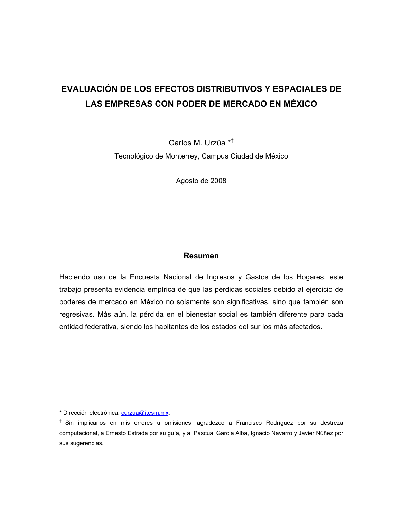# **EVALUACIÓN DE LOS EFECTOS DISTRIBUTIVOS Y ESPACIALES DE LAS EMPRESAS CON PODER DE MERCADO EN MÉXICO**

Carlos M. Urzúa \*† Tecnológico de Monterrey, Campus Ciudad de México

Agosto de 2008

## **Resumen**

Haciendo uso de la Encuesta Nacional de Ingresos y Gastos de los Hogares, este trabajo presenta evidencia empírica de que las pérdidas sociales debido al ejercicio de poderes de mercado en México no solamente son significativas, sino que también son regresivas. Más aún, la pérdida en el bienestar social es también diferente para cada entidad federativa, siendo los habitantes de los estados del sur los más afectados.

\* Dirección electrónica: curzua@itesm.mx.

 $<sup>†</sup>$  Sin implicarlos en mis errores u omisiones, agradezco a Francisco Rodríguez por su destreza</sup> computacional, a Ernesto Estrada por su guía, y a Pascual García Alba, Ignacio Navarro y Javier Núñez por sus sugerencias.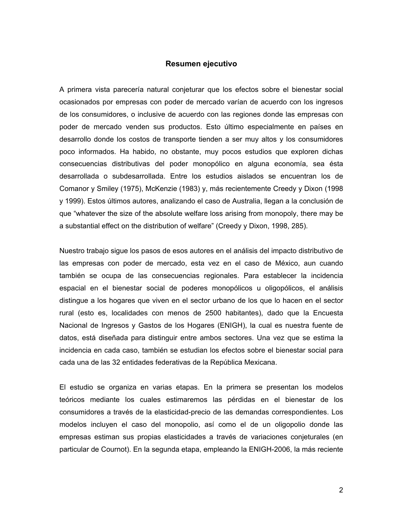### **Resumen ejecutivo**

A primera vista parecería natural conjeturar que los efectos sobre el bienestar social ocasionados por empresas con poder de mercado varían de acuerdo con los ingresos de los consumidores, o inclusive de acuerdo con las regiones donde las empresas con poder de mercado venden sus productos. Esto último especialmente en países en desarrollo donde los costos de transporte tienden a ser muy altos y los consumidores poco informados. Ha habido, no obstante, muy pocos estudios que exploren dichas consecuencias distributivas del poder monopólico en alguna economía, sea ésta desarrollada o subdesarrollada. Entre los estudios aislados se encuentran los de Comanor y Smiley (1975), McKenzie (1983) y, más recientemente Creedy y Dixon (1998 y 1999). Estos últimos autores, analizando el caso de Australia, llegan a la conclusión de que "whatever the size of the absolute welfare loss arising from monopoly, there may be a substantial effect on the distribution of welfare" (Creedy y Dixon, 1998, 285).

Nuestro trabajo sigue los pasos de esos autores en el análisis del impacto distributivo de las empresas con poder de mercado, esta vez en el caso de México, aun cuando también se ocupa de las consecuencias regionales. Para establecer la incidencia espacial en el bienestar social de poderes monopólicos u oligopólicos, el análisis distingue a los hogares que viven en el sector urbano de los que lo hacen en el sector rural (esto es, localidades con menos de 2500 habitantes), dado que la Encuesta Nacional de Ingresos y Gastos de los Hogares (ENIGH), la cual es nuestra fuente de datos, está diseñada para distinguir entre ambos sectores. Una vez que se estima la incidencia en cada caso, también se estudian los efectos sobre el bienestar social para cada una de las 32 entidades federativas de la República Mexicana.

El estudio se organiza en varias etapas. En la primera se presentan los modelos teóricos mediante los cuales estimaremos las pérdidas en el bienestar de los consumidores a través de la elasticidad-precio de las demandas correspondientes. Los modelos incluyen el caso del monopolio, así como el de un oligopolio donde las empresas estiman sus propias elasticidades a través de variaciones conjeturales (en particular de Cournot). En la segunda etapa, empleando la ENIGH-2006, la más reciente

2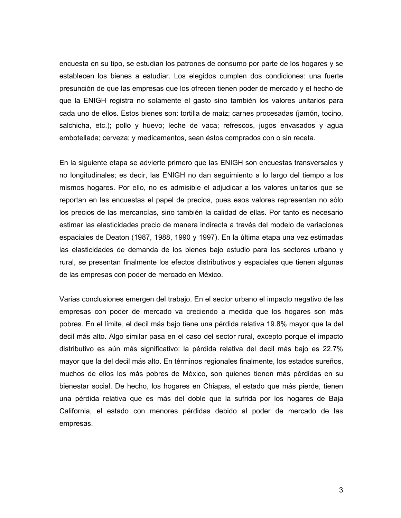encuesta en su tipo, se estudian los patrones de consumo por parte de los hogares y se establecen los bienes a estudiar. Los elegidos cumplen dos condiciones: una fuerte presunción de que las empresas que los ofrecen tienen poder de mercado y el hecho de que la ENIGH registra no solamente el gasto sino también los valores unitarios para cada uno de ellos. Estos bienes son: tortilla de maíz; carnes procesadas (jamón, tocino, salchicha, etc.); pollo y huevo; leche de vaca; refrescos, jugos envasados y agua embotellada; cerveza; y medicamentos, sean éstos comprados con o sin receta.

En la siguiente etapa se advierte primero que las ENIGH son encuestas transversales y no longitudinales; es decir, las ENIGH no dan seguimiento a lo largo del tiempo a los mismos hogares. Por ello, no es admisible el adjudicar a los valores unitarios que se reportan en las encuestas el papel de precios, pues esos valores representan no sólo los precios de las mercancías, sino también la calidad de ellas. Por tanto es necesario estimar las elasticidades precio de manera indirecta a través del modelo de variaciones espaciales de Deaton (1987, 1988, 1990 y 1997). En la última etapa una vez estimadas las elasticidades de demanda de los bienes bajo estudio para los sectores urbano y rural, se presentan finalmente los efectos distributivos y espaciales que tienen algunas de las empresas con poder de mercado en México.

Varias conclusiones emergen del trabajo. En el sector urbano el impacto negativo de las empresas con poder de mercado va creciendo a medida que los hogares son más pobres. En el límite, el decil más bajo tiene una pérdida relativa 19.8% mayor que la del decil más alto. Algo similar pasa en el caso del sector rural, excepto porque el impacto distributivo es aún más significativo: la pérdida relativa del decil más bajo es 22.7% mayor que la del decil más alto. En términos regionales finalmente, los estados sureños, muchos de ellos los más pobres de México, son quienes tienen más pérdidas en su bienestar social. De hecho, los hogares en Chiapas, el estado que más pierde, tienen una pérdida relativa que es más del doble que la sufrida por los hogares de Baja California, el estado con menores pérdidas debido al poder de mercado de las empresas.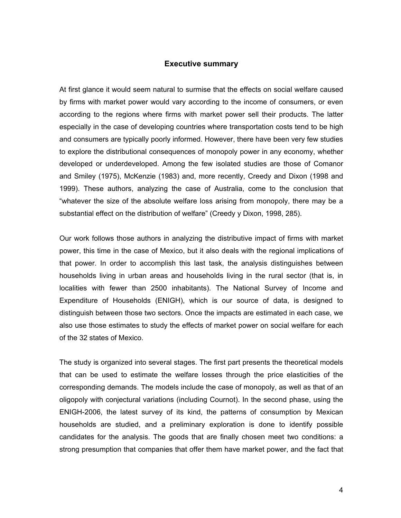### **Executive summary**

At first glance it would seem natural to surmise that the effects on social welfare caused by firms with market power would vary according to the income of consumers, or even according to the regions where firms with market power sell their products. The latter especially in the case of developing countries where transportation costs tend to be high and consumers are typically poorly informed. However, there have been very few studies to explore the distributional consequences of monopoly power in any economy, whether developed or underdeveloped. Among the few isolated studies are those of Comanor and Smiley (1975), McKenzie (1983) and, more recently, Creedy and Dixon (1998 and 1999). These authors, analyzing the case of Australia, come to the conclusion that "whatever the size of the absolute welfare loss arising from monopoly, there may be a substantial effect on the distribution of welfare" (Creedy y Dixon, 1998, 285).

Our work follows those authors in analyzing the distributive impact of firms with market power, this time in the case of Mexico, but it also deals with the regional implications of that power. In order to accomplish this last task, the analysis distinguishes between households living in urban areas and households living in the rural sector (that is, in localities with fewer than 2500 inhabitants). The National Survey of Income and Expenditure of Households (ENIGH), which is our source of data, is designed to distinguish between those two sectors. Once the impacts are estimated in each case, we also use those estimates to study the effects of market power on social welfare for each of the 32 states of Mexico.

The study is organized into several stages. The first part presents the theoretical models that can be used to estimate the welfare losses through the price elasticities of the corresponding demands. The models include the case of monopoly, as well as that of an oligopoly with conjectural variations (including Cournot). In the second phase, using the ENIGH-2006, the latest survey of its kind, the patterns of consumption by Mexican households are studied, and a preliminary exploration is done to identify possible candidates for the analysis. The goods that are finally chosen meet two conditions: a strong presumption that companies that offer them have market power, and the fact that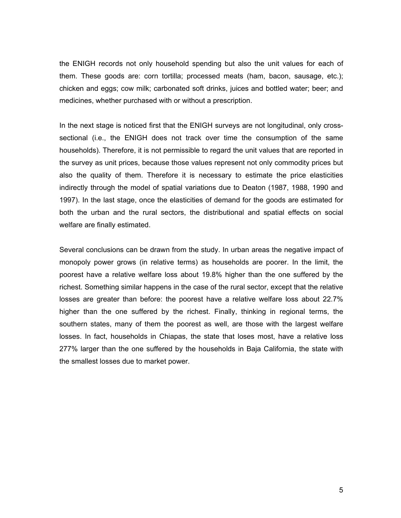the ENIGH records not only household spending but also the unit values for each of them. These goods are: corn tortilla; processed meats (ham, bacon, sausage, etc.); chicken and eggs; cow milk; carbonated soft drinks, juices and bottled water; beer; and medicines, whether purchased with or without a prescription.

In the next stage is noticed first that the ENIGH surveys are not longitudinal, only crosssectional (i.e., the ENIGH does not track over time the consumption of the same households). Therefore, it is not permissible to regard the unit values that are reported in the survey as unit prices, because those values represent not only commodity prices but also the quality of them. Therefore it is necessary to estimate the price elasticities indirectly through the model of spatial variations due to Deaton (1987, 1988, 1990 and 1997). In the last stage, once the elasticities of demand for the goods are estimated for both the urban and the rural sectors, the distributional and spatial effects on social welfare are finally estimated.

Several conclusions can be drawn from the study. In urban areas the negative impact of monopoly power grows (in relative terms) as households are poorer. In the limit, the poorest have a relative welfare loss about 19.8% higher than the one suffered by the richest. Something similar happens in the case of the rural sector, except that the relative losses are greater than before: the poorest have a relative welfare loss about 22.7% higher than the one suffered by the richest. Finally, thinking in regional terms, the southern states, many of them the poorest as well, are those with the largest welfare losses. In fact, households in Chiapas, the state that loses most, have a relative loss 277% larger than the one suffered by the households in Baja California, the state with the smallest losses due to market power.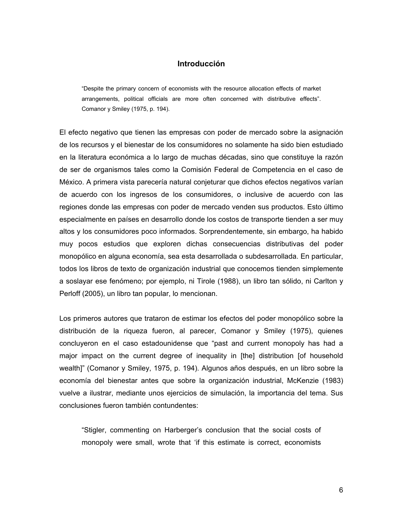### **Introducción**

"Despite the primary concern of economists with the resource allocation effects of market arrangements, political officials are more often concerned with distributive effects". Comanor y Smiley (1975, p. 194).

El efecto negativo que tienen las empresas con poder de mercado sobre la asignación de los recursos y el bienestar de los consumidores no solamente ha sido bien estudiado en la literatura económica a lo largo de muchas décadas, sino que constituye la razón de ser de organismos tales como la Comisión Federal de Competencia en el caso de México. A primera vista parecería natural conjeturar que dichos efectos negativos varían de acuerdo con los ingresos de los consumidores, o inclusive de acuerdo con las regiones donde las empresas con poder de mercado venden sus productos. Esto último especialmente en países en desarrollo donde los costos de transporte tienden a ser muy altos y los consumidores poco informados. Sorprendentemente, sin embargo, ha habido muy pocos estudios que exploren dichas consecuencias distributivas del poder monopólico en alguna economía, sea esta desarrollada o subdesarrollada. En particular, todos los libros de texto de organización industrial que conocemos tienden simplemente a soslayar ese fenómeno; por ejemplo, ni Tirole (1988), un libro tan sólido, ni Carlton y Perloff (2005), un libro tan popular, lo mencionan.

Los primeros autores que trataron de estimar los efectos del poder monopólico sobre la distribución de la riqueza fueron, al parecer, Comanor y Smiley (1975), quienes concluyeron en el caso estadounidense que "past and current monopoly has had a major impact on the current degree of inequality in [the] distribution [of household wealth]" (Comanor y Smiley, 1975, p. 194). Algunos años después, en un libro sobre la economía del bienestar antes que sobre la organización industrial, McKenzie (1983) vuelve a ilustrar, mediante unos ejercicios de simulación, la importancia del tema. Sus conclusiones fueron también contundentes:

"Stigler, commenting on Harberger's conclusion that the social costs of monopoly were small, wrote that 'if this estimate is correct, economists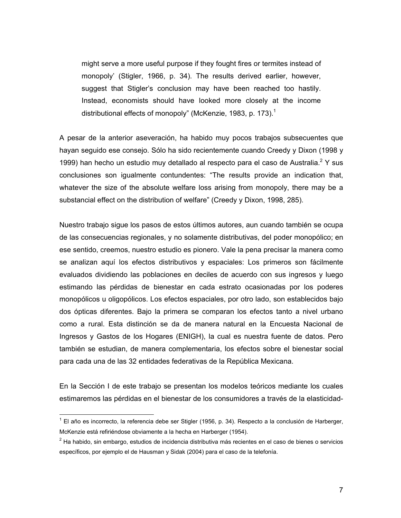might serve a more useful purpose if they fought fires or termites instead of monopoly' (Stigler, 1966, p. 34). The results derived earlier, however, suggest that Stigler's conclusion may have been reached too hastily. Instead, economists should have looked more closely at the income distributional effects of monopoly" (McKenzie, 1983, p. 173).<sup>1</sup>

A pesar de la anterior aseveración, ha habido muy pocos trabajos subsecuentes que hayan seguido ese consejo. Sólo ha sido recientemente cuando Creedy y Dixon (1998 y 1999) han hecho un estudio muy detallado al respecto para el caso de Australia.<sup>2</sup> Y sus conclusiones son igualmente contundentes: "The results provide an indication that, whatever the size of the absolute welfare loss arising from monopoly, there may be a substancial effect on the distribution of welfare" (Creedy y Dixon, 1998, 285).

Nuestro trabajo sigue los pasos de estos últimos autores, aun cuando también se ocupa de las consecuencias regionales, y no solamente distributivas, del poder monopólico; en ese sentido, creemos, nuestro estudio es pionero. Vale la pena precisar la manera como se analizan aquí los efectos distributivos y espaciales: Los primeros son fácilmente evaluados dividiendo las poblaciones en deciles de acuerdo con sus ingresos y luego estimando las pérdidas de bienestar en cada estrato ocasionadas por los poderes monopólicos u oligopólicos. Los efectos espaciales, por otro lado, son establecidos bajo dos ópticas diferentes. Bajo la primera se comparan los efectos tanto a nivel urbano como a rural. Esta distinción se da de manera natural en la Encuesta Nacional de Ingresos y Gastos de los Hogares (ENIGH), la cual es nuestra fuente de datos. Pero también se estudian, de manera complementaria, los efectos sobre el bienestar social para cada una de las 32 entidades federativas de la República Mexicana.

En la Sección I de este trabajo se presentan los modelos teóricos mediante los cuales estimaremos las pérdidas en el bienestar de los consumidores a través de la elasticidad-

 $\overline{a}$ 

<sup>&</sup>lt;sup>1</sup> El año es incorrecto, la referencia debe ser Stigler (1956, p. 34). Respecto a la conclusión de Harberger, McKenzie está refiriéndose obviamente a la hecha en Harberger (1954).

 $^{2}$  Ha habido, sin embargo, estudios de incidencia distributiva más recientes en el caso de bienes o servicios específicos, por ejemplo el de Hausman y Sidak (2004) para el caso de la telefonía.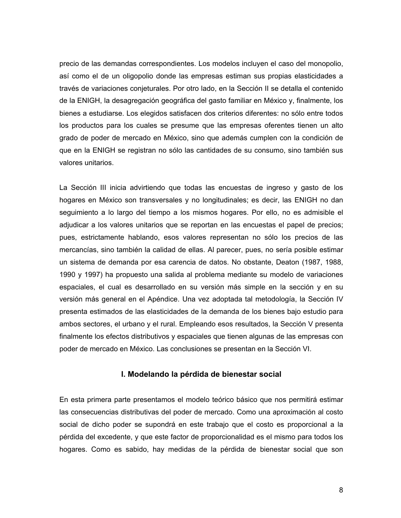precio de las demandas correspondientes. Los modelos incluyen el caso del monopolio, así como el de un oligopolio donde las empresas estiman sus propias elasticidades a través de variaciones conjeturales. Por otro lado, en la Sección II se detalla el contenido de la ENIGH, la desagregación geográfica del gasto familiar en México y, finalmente, los bienes a estudiarse. Los elegidos satisfacen dos criterios diferentes: no sólo entre todos los productos para los cuales se presume que las empresas oferentes tienen un alto grado de poder de mercado en México, sino que además cumplen con la condición de que en la ENIGH se registran no sólo las cantidades de su consumo, sino también sus valores unitarios.

La Sección III inicia advirtiendo que todas las encuestas de ingreso y gasto de los hogares en México son transversales y no longitudinales; es decir, las ENIGH no dan seguimiento a lo largo del tiempo a los mismos hogares. Por ello, no es admisible el adjudicar a los valores unitarios que se reportan en las encuestas el papel de precios; pues, estrictamente hablando, esos valores representan no sólo los precios de las mercancías, sino también la calidad de ellas. Al parecer, pues, no sería posible estimar un sistema de demanda por esa carencia de datos. No obstante, Deaton (1987, 1988, 1990 y 1997) ha propuesto una salida al problema mediante su modelo de variaciones espaciales, el cual es desarrollado en su versión más simple en la sección y en su versión más general en el Apéndice. Una vez adoptada tal metodología, la Sección IV presenta estimados de las elasticidades de la demanda de los bienes bajo estudio para ambos sectores, el urbano y el rural. Empleando esos resultados, la Sección V presenta finalmente los efectos distributivos y espaciales que tienen algunas de las empresas con poder de mercado en México. Las conclusiones se presentan en la Sección VI.

# **I. Modelando la pérdida de bienestar social**

En esta primera parte presentamos el modelo teórico básico que nos permitirá estimar las consecuencias distributivas del poder de mercado. Como una aproximación al costo social de dicho poder se supondrá en este trabajo que el costo es proporcional a la pérdida del excedente, y que este factor de proporcionalidad es el mismo para todos los hogares. Como es sabido, hay medidas de la pérdida de bienestar social que son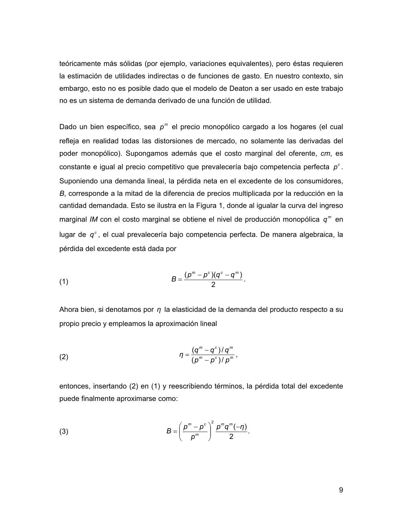teóricamente más sólidas (por ejemplo, variaciones equivalentes), pero éstas requieren la estimación de utilidades indirectas o de funciones de gasto. En nuestro contexto, sin embargo, esto no es posible dado que el modelo de Deaton a ser usado en este trabajo no es un sistema de demanda derivado de una función de utilidad.

Dado un bien específico, sea p<sup>m</sup> el precio monopólico cargado a los hogares (el cual refleja en realidad todas las distorsiones de mercado, no solamente las derivadas del poder monopólico). Supongamos además que el costo marginal del oferente, *cm*, es constante e igual al precio competitivo que prevalecería bajo competencia perfecta  $p^c$ . Suponiendo una demanda lineal, la pérdida neta en el excedente de los consumidores, *B*, corresponde a la mitad de la diferencia de precios multiplicada por la reducción en la cantidad demandada. Esto se ilustra en la Figura 1, donde al igualar la curva del ingreso marginal *IM* con el costo marginal se obtiene el nivel de producción monopólica  $q<sup>m</sup>$  en lugar de  $q^c$ , el cual prevalecería bajo competencia perfecta. De manera algebraica, la pérdida del excedente está dada por

(1) 
$$
B = \frac{(p^m - p^c)(q^c - q^m)}{2}.
$$

Ahora bien, si denotamos por *η* la elasticidad de la demanda del producto respecto a su propio precio y empleamos la aproximación lineal

(2) 
$$
\eta = \frac{(q^m - q^c)/q^m}{(p^m - p^c)/p^m},
$$

entonces, insertando (2) en (1) y reescribiendo términos, la pérdida total del excedente puede finalmente aproximarse como:

(3) 
$$
B = \left(\frac{p^m - p^c}{p^m}\right)^2 \frac{p^m q^m(-\eta)}{2}.
$$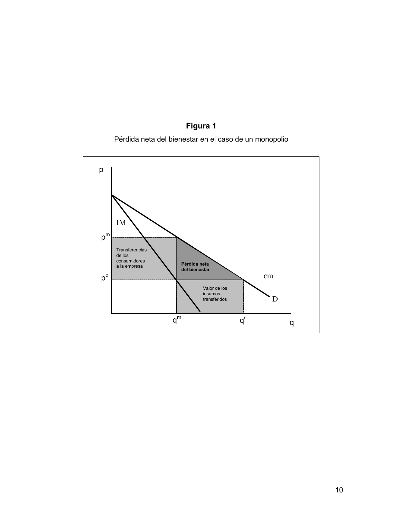# **Figura 1**

Pérdida neta del bienestar en el caso de un monopolio

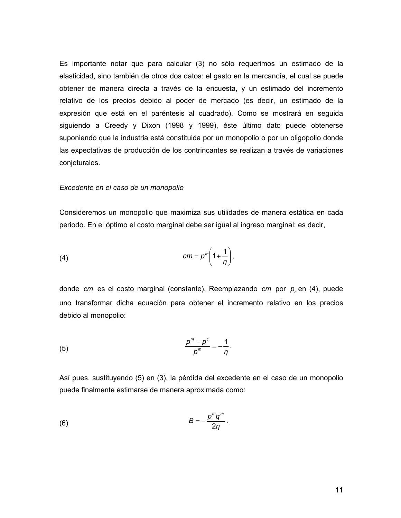Es importante notar que para calcular (3) no sólo requerimos un estimado de la elasticidad, sino también de otros dos datos: el gasto en la mercancía, el cual se puede obtener de manera directa a través de la encuesta, y un estimado del incremento relativo de los precios debido al poder de mercado (es decir, un estimado de la expresión que está en el paréntesis al cuadrado). Como se mostrará en seguida siguiendo a Creedy y Dixon (1998 y 1999), éste último dato puede obtenerse suponiendo que la industria está constituida por un monopolio o por un oligopolio donde las expectativas de producción de los contrincantes se realizan a través de variaciones conjeturales.

#### *Excedente en el caso de un monopolio*

Consideremos un monopolio que maximiza sus utilidades de manera estática en cada periodo. En el óptimo el costo marginal debe ser igual al ingreso marginal; es decir,

(4) 
$$
cm = p^m \left(1 + \frac{1}{\eta}\right),
$$

donde *cm* es el costo marginal (constante). Reemplazando *cm* por  $p_c$  en (4), puede uno transformar dicha ecuación para obtener el incremento relativo en los precios debido al monopolio:

$$
\frac{p^m-p^c}{p^m}=-\frac{1}{\eta}.
$$

Así pues, sustituyendo (5) en (3), la pérdida del excedente en el caso de un monopolio puede finalmente estimarse de manera aproximada como:

$$
(6) \hspace{3.1em} B = -\frac{p^m q^m}{2\eta} \, .
$$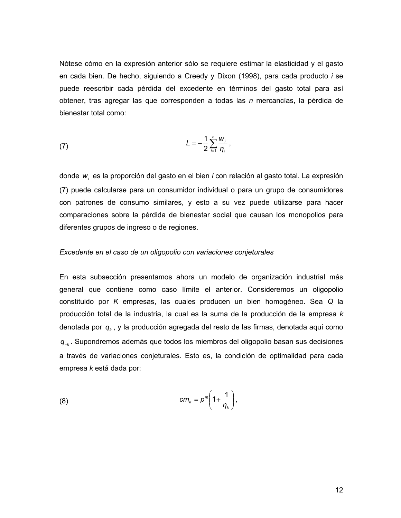Nótese cómo en la expresión anterior sólo se requiere estimar la elasticidad y el gasto en cada bien. De hecho, siguiendo a Creedy y Dixon (1998), para cada producto *i* se puede reescribir cada pérdida del excedente en términos del gasto total para así obtener, tras agregar las que corresponden a todas las *n* mercancías, la pérdida de bienestar total como:

(7) 
$$
L = -\frac{1}{2} \sum_{i=1}^{n} \frac{W_i}{\eta_i},
$$

donde *wi* es la proporción del gasto en el bien *i* con relación al gasto total. La expresión (7) puede calcularse para un consumidor individual o para un grupo de consumidores con patrones de consumo similares, y esto a su vez puede utilizarse para hacer comparaciones sobre la pérdida de bienestar social que causan los monopolios para diferentes grupos de ingreso o de regiones.

### *Excedente en el caso de un oligopolio con variaciones conjeturales*

En esta subsección presentamos ahora un modelo de organización industrial más general que contiene como caso límite el anterior. Consideremos un oligopolio constituido por *K* empresas, las cuales producen un bien homogéneo. Sea *Q* la producción total de la industria, la cual es la suma de la producción de la empresa *k* denotada por *qk* , y la producción agregada del resto de las firmas, denotada aquí como *q*<sup>−</sup>*<sup>k</sup>* . Supondremos además que todos los miembros del oligopolio basan sus decisiones a través de variaciones conjeturales. Esto es, la condición de optimalidad para cada empresa *k* está dada por:

(8) 
$$
cm_{k} = p^{m} \left(1 + \frac{1}{\eta_{k}}\right),
$$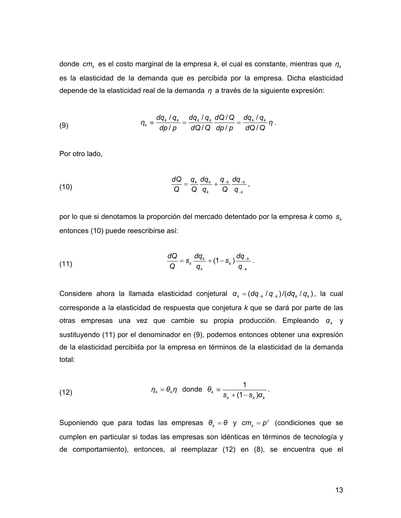donde *cmk* es el costo marginal de la empresa *k*, el cual es constante, mientras que *η<sup>k</sup>* es la elasticidad de la demanda que es percibida por la empresa. Dicha elasticidad depende de la elasticidad real de la demanda *η* a través de la siguiente expresión:

(9) 
$$
\eta_{k} = \frac{dq_{k} / q_{k}}{dp / p} = \frac{dq_{k} / q_{k}}{dQ / Q} \frac{dQ / Q}{dp / p} = \frac{dq_{k} / q_{k}}{dQ / Q} \eta.
$$

Por otro lado,

(10) 
$$
\frac{dQ}{Q} = \frac{q_k}{Q} \frac{dq_k}{q_k} + \frac{q_{-k}}{Q} \frac{dq_{-k}}{q_{-k}},
$$

por lo que si denotamos la proporción del mercado detentado por la empresa *k* como s<sub>k</sub> entonces (10) puede reescribirse así:

(11) 
$$
\frac{dQ}{Q} = s_k \frac{dq_k}{q_k} + (1 - s_k) \frac{dq_{-k}}{q_{-k}}.
$$

Considere ahora la llamada elasticidad conjetural  $\alpha_k = (dq_{-k}/q_{-k})/(dq_k/q_k)$ , la cual corresponde a la elasticidad de respuesta que conjetura *k* que se dará por parte de las otras empresas una vez que cambie su propia producción. Empleando *αk* y sustituyendo (11) por el denominador en (9), podemos entonces obtener una expresión de la elasticidad percibida por la empresa en términos de la elasticidad de la demanda total:

(12) 
$$
\eta_k = \theta_k \eta \text{ donde } \theta_k \equiv \frac{1}{s_k + (1 - s_k) \alpha_k}.
$$

Suponiendo que para todas las empresas  $\theta_k = \theta$  y  $cm_k = p^c$  (condiciones que se cumplen en particular si todas las empresas son idénticas en términos de tecnología y de comportamiento), entonces, al reemplazar (12) en (8), se encuentra que el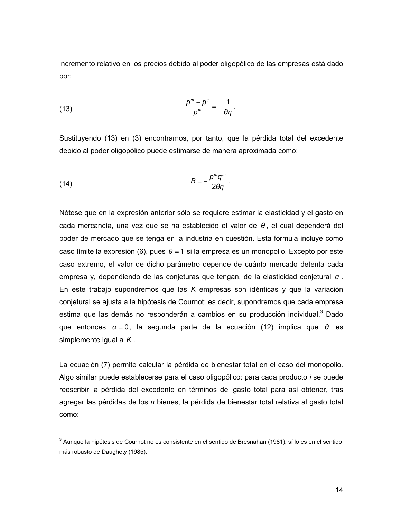incremento relativo en los precios debido al poder oligopólico de las empresas está dado por:

(13) 
$$
\frac{p^m - p^c}{p^m} = -\frac{1}{\theta \eta}.
$$

Sustituyendo (13) en (3) encontramos, por tanto, que la pérdida total del excedente debido al poder oligopólico puede estimarse de manera aproximada como:

(14) *θη <sup>p</sup> <sup>q</sup> <sup>B</sup> m m* <sup>2</sup> <sup>=</sup> <sup>−</sup> .

 $\overline{a}$ 

Nótese que en la expresión anterior sólo se requiere estimar la elasticidad y el gasto en cada mercancía, una vez que se ha establecido el valor de *θ* , el cual dependerá del poder de mercado que se tenga en la industria en cuestión. Esta fórmula incluye como caso límite la expresión (6), pues *θ* = 1 si la empresa es un monopolio. Excepto por este caso extremo, el valor de dicho parámetro depende de cuánto mercado detenta cada empresa y, dependiendo de las conjeturas que tengan, de la elasticidad conjetural *α* . En este trabajo supondremos que las *K* empresas son idénticas y que la variación conjetural se ajusta a la hipótesis de Cournot; es decir, supondremos que cada empresa estima que las demás no responderán a cambios en su producción individual. $3$  Dado que entonces *α* = 0, la segunda parte de la ecuación (12) implica que *θ* es simplemente igual a *K* .

La ecuación (7) permite calcular la pérdida de bienestar total en el caso del monopolio. Algo similar puede establecerse para el caso oligopólico: para cada producto *i* se puede reescribir la pérdida del excedente en términos del gasto total para así obtener, tras agregar las pérdidas de los *n* bienes, la pérdida de bienestar total relativa al gasto total como:

 $3$  Aunque la hipótesis de Cournot no es consistente en el sentido de Bresnahan (1981), sí lo es en el sentido más robusto de Daughety (1985).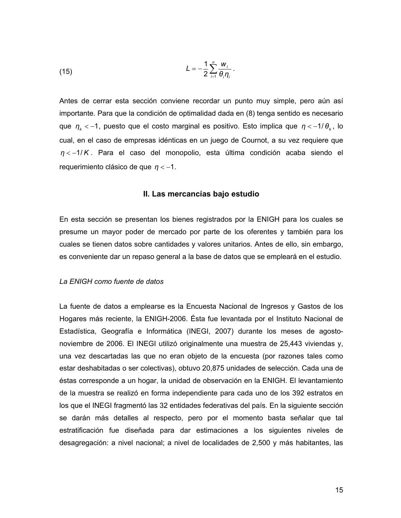$$
L=-\frac{1}{2}\sum_{i=1}^n\frac{W_i}{\theta_i\eta_i}.
$$

Antes de cerrar esta sección conviene recordar un punto muy simple, pero aún así importante. Para que la condición de optimalidad dada en (8) tenga sentido es necesario que  $η<sub>k</sub> < -1$ , puesto que el costo marginal es positivo. Esto implica que  $η < -1/θ<sub>k</sub>$ , lo cual, en el caso de empresas idénticas en un juego de Cournot, a su vez requiere que *η* < −1/ *K* . Para el caso del monopolio, esta última condición acaba siendo el requerimiento clásico de que  $n < -1$ .

### **II. Las mercancías bajo estudio**

En esta sección se presentan los bienes registrados por la ENIGH para los cuales se presume un mayor poder de mercado por parte de los oferentes y también para los cuales se tienen datos sobre cantidades y valores unitarios. Antes de ello, sin embargo, es conveniente dar un repaso general a la base de datos que se empleará en el estudio.

### *La ENIGH como fuente de datos*

La fuente de datos a emplearse es la Encuesta Nacional de Ingresos y Gastos de los Hogares más reciente, la ENIGH-2006. Ésta fue levantada por el Instituto Nacional de Estadística, Geografía e Informática (INEGI, 2007) durante los meses de agostonoviembre de 2006. El INEGI utilizó originalmente una muestra de 25,443 viviendas y, una vez descartadas las que no eran objeto de la encuesta (por razones tales como estar deshabitadas o ser colectivas), obtuvo 20,875 unidades de selección. Cada una de éstas corresponde a un hogar, la unidad de observación en la ENIGH. El levantamiento de la muestra se realizó en forma independiente para cada uno de los 392 estratos en los que el INEGI fragmentó las 32 entidades federativas del país. En la siguiente sección se darán más detalles al respecto, pero por el momento basta señalar que tal estratificación fue diseñada para dar estimaciones a los siguientes niveles de desagregación: a nivel nacional; a nivel de localidades de 2,500 y más habitantes, las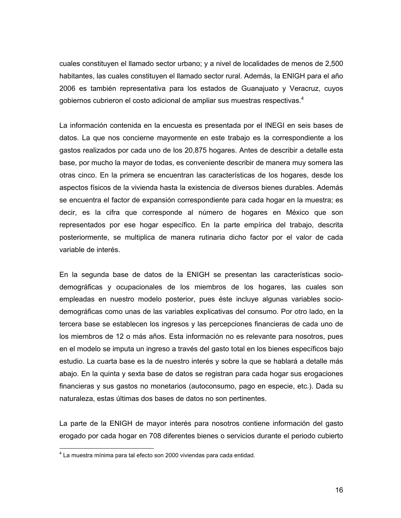cuales constituyen el llamado sector urbano; y a nivel de localidades de menos de 2,500 habitantes, las cuales constituyen el llamado sector rural. Además, la ENIGH para el año 2006 es también representativa para los estados de Guanajuato y Veracruz, cuyos gobiernos cubrieron el costo adicional de ampliar sus muestras respectivas.4

La información contenida en la encuesta es presentada por el INEGI en seis bases de datos. La que nos concierne mayormente en este trabajo es la correspondiente a los gastos realizados por cada uno de los 20,875 hogares. Antes de describir a detalle esta base, por mucho la mayor de todas, es conveniente describir de manera muy somera las otras cinco. En la primera se encuentran las características de los hogares, desde los aspectos físicos de la vivienda hasta la existencia de diversos bienes durables. Además se encuentra el factor de expansión correspondiente para cada hogar en la muestra; es decir, es la cifra que corresponde al número de hogares en México que son representados por ese hogar específico. En la parte empírica del trabajo, descrita posteriormente, se multiplica de manera rutinaria dicho factor por el valor de cada variable de interés.

En la segunda base de datos de la ENIGH se presentan las características sociodemográficas y ocupacionales de los miembros de los hogares, las cuales son empleadas en nuestro modelo posterior, pues éste incluye algunas variables sociodemográficas como unas de las variables explicativas del consumo. Por otro lado, en la tercera base se establecen los ingresos y las percepciones financieras de cada uno de los miembros de 12 o más años. Esta información no es relevante para nosotros, pues en el modelo se imputa un ingreso a través del gasto total en los bienes específicos bajo estudio. La cuarta base es la de nuestro interés y sobre la que se hablará a detalle más abajo. En la quinta y sexta base de datos se registran para cada hogar sus erogaciones financieras y sus gastos no monetarios (autoconsumo, pago en especie, etc.). Dada su naturaleza, estas últimas dos bases de datos no son pertinentes.

La parte de la ENIGH de mayor interés para nosotros contiene información del gasto erogado por cada hogar en 708 diferentes bienes o servicios durante el periodo cubierto

 $\overline{a}$ 

<sup>&</sup>lt;sup>4</sup> La muestra mínima para tal efecto son 2000 viviendas para cada entidad.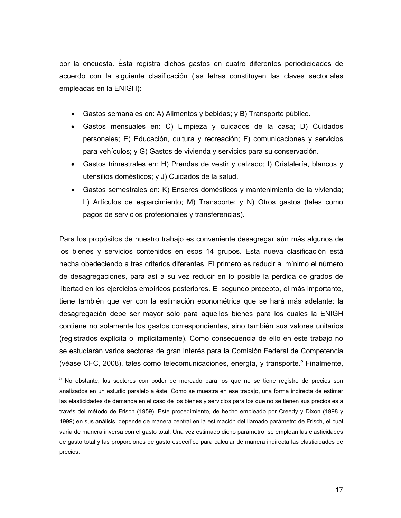por la encuesta. Ésta registra dichos gastos en cuatro diferentes periodicidades de acuerdo con la siguiente clasificación (las letras constituyen las claves sectoriales empleadas en la ENIGH):

- Gastos semanales en: A) Alimentos y bebidas; y B) Transporte público.
- Gastos mensuales en: C) Limpieza y cuidados de la casa; D) Cuidados personales; E) Educación, cultura y recreación; F) comunicaciones y servicios para vehículos; y G) Gastos de vivienda y servicios para su conservación.
- Gastos trimestrales en: H) Prendas de vestir y calzado; I) Cristalería, blancos y utensilios domésticos; y J) Cuidados de la salud.
- Gastos semestrales en: K) Enseres domésticos y mantenimiento de la vivienda; L) Artículos de esparcimiento; M) Transporte; y N) Otros gastos (tales como pagos de servicios profesionales y transferencias).

Para los propósitos de nuestro trabajo es conveniente desagregar aún más algunos de los bienes y servicios contenidos en esos 14 grupos. Esta nueva clasificación está hecha obedeciendo a tres criterios diferentes. El primero es reducir al mínimo el número de desagregaciones, para así a su vez reducir en lo posible la pérdida de grados de libertad en los ejercicios empíricos posteriores. El segundo precepto, el más importante, tiene también que ver con la estimación econométrica que se hará más adelante: la desagregación debe ser mayor sólo para aquellos bienes para los cuales la ENIGH contiene no solamente los gastos correspondientes, sino también sus valores unitarios (registrados explícita o implícitamente). Como consecuencia de ello en este trabajo no se estudiarán varios sectores de gran interés para la Comisión Federal de Competencia (véase CFC, 2008), tales como telecomunicaciones, energía, y transporte.<sup>5</sup> Finalmente,

 $\overline{a}$ 

<sup>&</sup>lt;sup>5</sup> No obstante, los sectores con poder de mercado para los que no se tiene registro de precios son analizados en un estudio paralelo a éste. Como se muestra en ese trabajo, una forma indirecta de estimar las elasticidades de demanda en el caso de los bienes y servicios para los que no se tienen sus precios es a través del método de Frisch (1959). Este procedimiento, de hecho empleado por Creedy y Dixon (1998 y 1999) en sus análisis, depende de manera central en la estimación del llamado parámetro de Frisch, el cual varía de manera inversa con el gasto total. Una vez estimado dicho parámetro, se emplean las elasticidades de gasto total y las proporciones de gasto específico para calcular de manera indirecta las elasticidades de precios.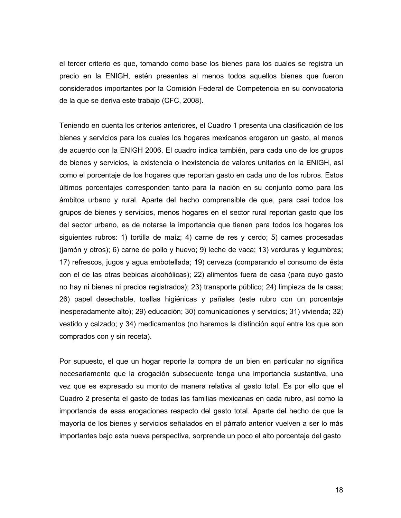el tercer criterio es que, tomando como base los bienes para los cuales se registra un precio en la ENIGH, estén presentes al menos todos aquellos bienes que fueron considerados importantes por la Comisión Federal de Competencia en su convocatoria de la que se deriva este trabajo (CFC, 2008).

Teniendo en cuenta los criterios anteriores, el Cuadro 1 presenta una clasificación de los bienes y servicios para los cuales los hogares mexicanos erogaron un gasto, al menos de acuerdo con la ENIGH 2006. El cuadro indica también, para cada uno de los grupos de bienes y servicios, la existencia o inexistencia de valores unitarios en la ENIGH, así como el porcentaje de los hogares que reportan gasto en cada uno de los rubros. Estos últimos porcentajes corresponden tanto para la nación en su conjunto como para los ámbitos urbano y rural. Aparte del hecho comprensible de que, para casi todos los grupos de bienes y servicios, menos hogares en el sector rural reportan gasto que los del sector urbano, es de notarse la importancia que tienen para todos los hogares los siguientes rubros: 1) tortilla de maíz; 4) carne de res y cerdo; 5) carnes procesadas (jamón y otros); 6) carne de pollo y huevo; 9) leche de vaca; 13) verduras y legumbres; 17) refrescos, jugos y agua embotellada; 19) cerveza (comparando el consumo de ésta con el de las otras bebidas alcohólicas); 22) alimentos fuera de casa (para cuyo gasto no hay ni bienes ni precios registrados); 23) transporte público; 24) limpieza de la casa; 26) papel desechable, toallas higiénicas y pañales (este rubro con un porcentaje inesperadamente alto); 29) educación; 30) comunicaciones y servicios; 31) vivienda; 32) vestido y calzado; y 34) medicamentos (no haremos la distinción aquí entre los que son comprados con y sin receta).

Por supuesto, el que un hogar reporte la compra de un bien en particular no significa necesariamente que la erogación subsecuente tenga una importancia sustantiva, una vez que es expresado su monto de manera relativa al gasto total. Es por ello que el Cuadro 2 presenta el gasto de todas las familias mexicanas en cada rubro, así como la importancia de esas erogaciones respecto del gasto total. Aparte del hecho de que la mayoría de los bienes y servicios señalados en el párrafo anterior vuelven a ser lo más importantes bajo esta nueva perspectiva, sorprende un poco el alto porcentaje del gasto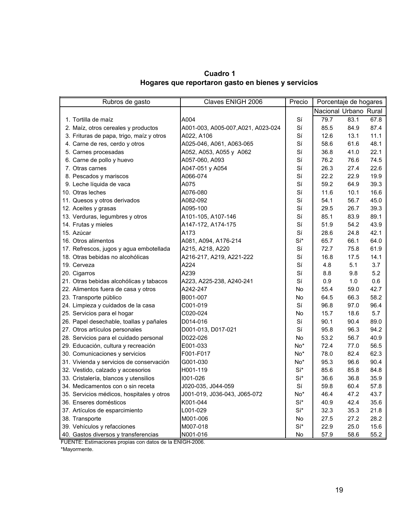**Cuadro 1 Hogares que reportaron gasto en bienes y servicios**

| Claves ENIGH 2006<br>Rubros de gasto      |                                    | Precio | Porcentaje de hogares |      |      |
|-------------------------------------------|------------------------------------|--------|-----------------------|------|------|
|                                           |                                    |        | Nacional Urbano Rural |      |      |
| 1. Tortilla de maíz                       | A004                               | Sí     | 79.7                  | 83.1 | 67.8 |
| 2. Maíz, otros cereales y productos       | A001-003, A005-007, A021, A023-024 | Sí     | 85.5                  | 84.9 | 87.4 |
| 3. Frituras de papa, trigo, maíz y otros  | A022, A106                         | Sí     | 12.6                  | 13.1 | 11.1 |
| 4. Carne de res, cerdo y otros            | A025-046, A061, A063-065           | Sí     | 58.6                  | 61.6 | 48.1 |
| 5. Carnes procesadas                      | A052, A053, A055 y A062            | Sí     | 36.8                  | 41.0 | 22.1 |
| 6. Carne de pollo y huevo                 | A057-060, A093                     | Sí     | 76.2                  | 76.6 | 74.5 |
| 7. Otras carnes                           | A047-051 y A054                    | Sí     | 26.3                  | 27.4 | 22.6 |
| 8. Pescados y mariscos                    | A066-074                           | Sí     | 22.2                  | 22.9 | 19.9 |
| 9. Leche líquida de vaca                  | A075                               | Sí     | 59.2                  | 64.9 | 39.3 |
| 10. Otras leches                          | A076-080                           | Sí     | 11.6                  | 10.1 | 16.6 |
| 11. Quesos y otros derivados              | A082-092                           | Sí     | 54.1                  | 56.7 | 45.0 |
| 12. Aceites y grasas                      | A095-100                           | Sí     | 29.5                  | 26.7 | 39.3 |
| 13. Verduras, legumbres y otros           | A101-105, A107-146                 | Sí     | 85.1                  | 83.9 | 89.1 |
| 14. Frutas y mieles                       | A147-172, A174-175                 | Sí     | 51.9                  | 54.2 | 43.9 |
| 15. Azúcar                                | A173                               | Sí     | 28.6                  | 24.8 | 42.1 |
| 16. Otros alimentos                       | A081, A094, A176-214               | Sí*    | 65.7                  | 66.1 | 64.0 |
| 17. Refrescos, jugos y agua embotellada   | A215, A218, A220                   | Sí     | 72.7                  | 75.8 | 61.9 |
| 18. Otras bebidas no alcohólicas          | A216-217, A219, A221-222           | Sí     | 16.8                  | 17.5 | 14.1 |
| 19. Cerveza                               | A224                               | Sí     | 4.8                   | 5.1  | 3.7  |
| 20. Cigarros                              | A239                               | Sí     | 8.8                   | 9.8  | 5.2  |
| 21. Otras bebidas alcohólicas y tabacos   | A223, A225-238, A240-241           | Sí     | 0.9                   | 1.0  | 0.6  |
| 22. Alimentos fuera de casa y otros       | A242-247                           | No     | 55.4                  | 59.0 | 42.7 |
| 23. Transporte público                    | B001-007                           | No     | 64.5                  | 66.3 | 58.2 |
| 24. Limpieza y cuidados de la casa        | C001-019                           | Sí     | 96.8                  | 97.0 | 96.4 |
| 25. Servicios para el hogar               | C020-024                           | No     | 15.7                  | 18.6 | 5.7  |
| 26. Papel desechable, toallas y pañales   | D014-016                           | Sí     | 90.1                  | 90.4 | 89.0 |
| 27. Otros artículos personales            | D001-013, D017-021                 | Sí     | 95.8                  | 96.3 | 94.2 |
| 28. Servicios para el cuidado personal    | D022-026                           | No     | 53.2                  | 56.7 | 40.9 |
| 29. Educación, cultura y recreación       | E001-033                           | No*    | 72.4                  | 77.0 | 56.5 |
| 30. Comunicaciones y servicios            | F001-F017                          | No*    | 78.0                  | 82.4 | 62.3 |
| 31. Vivienda y servicios de conservación  | G001-030                           | No*    | 95.3                  | 96.6 | 90.4 |
| 32. Vestido, calzado y accesorios         | H001-119                           | Sí*    | 85.6                  | 85.8 | 84.8 |
| 33. Cristalería, blancos y utensilios     | 1001-026                           | Sí*    | 36.6                  | 36.8 | 35.9 |
| 34. Medicamentos con o sin receta         | J020-035, J044-059                 | Sí     | 59.8                  | 60.4 | 57.8 |
| 35. Servicios médicos, hospitales y otros | J001-019, J036-043, J065-072       | No*    | 46.4                  | 47.2 | 43.7 |
| 36. Enseres domésticos                    | K001-044                           | Sí*    | 40.9                  | 42.4 | 35.6 |
| 37. Artículos de esparcimiento            | L001-029                           | Sí*    | 32.3                  | 35.3 | 21.8 |
| 38. Transporte                            | M001-006                           | No     | 27.5                  | 27.2 | 28.2 |
| 39. Vehículos y refacciones               | M007-018                           | Sí*    | 22.9                  | 25.0 | 15.6 |
| 40. Gastos diversos y transferencias      | N001-016                           | No     | 57.9                  | 58.6 | 55.2 |

FUENTE: Estimaciones propias con datos de la ENIGH-2006.

\*Mayormente.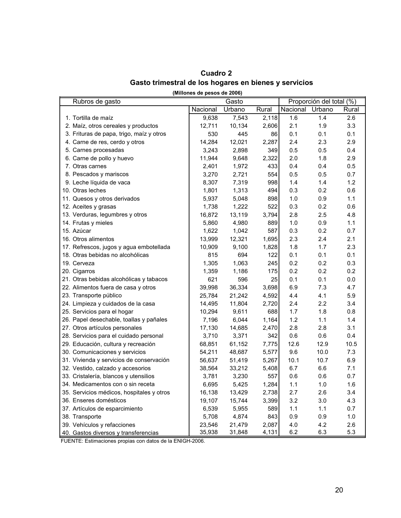| Cuadro 2                                              |  |
|-------------------------------------------------------|--|
| Gasto trimestral de los hogares en bienes y servicios |  |

|                                                       | Guadro Z |  |
|-------------------------------------------------------|----------|--|
| Gasto trimestral de los hogares en bienes y servicio: |          |  |

| (Millones de pesos de 2006) |  |
|-----------------------------|--|
|-----------------------------|--|

| Rubros de gasto                           | Gasto    |        |       | Proporción del total (%) |                  |         |
|-------------------------------------------|----------|--------|-------|--------------------------|------------------|---------|
|                                           | Nacional | Urbano | Rural | Nacional Urbano          |                  | Rural   |
| 1. Tortilla de maíz                       | 9,638    | 7,543  | 2,118 | 1.6                      | 1.4              | 2.6     |
| 2. Maíz, otros cereales y productos       | 12,711   | 10,134 | 2,606 | 2.1                      | 1.9              | 3.3     |
| 3. Frituras de papa, trigo, maíz y otros  | 530      | 445    | 86    | 0.1                      | 0.1              | 0.1     |
| 4. Carne de res, cerdo y otros            | 14,284   | 12,021 | 2,287 | 2.4                      | 2.3              | 2.9     |
| 5. Carnes procesadas                      | 3,243    | 2,898  | 349   | 0.5                      | 0.5              | 0.4     |
| 6. Carne de pollo y huevo                 | 11,944   | 9,648  | 2,322 | 2.0                      | 1.8              | 2.9     |
| 7. Otras carnes                           | 2,401    | 1,972  | 433   | 0.4                      | 0.4              | 0.5     |
| 8. Pescados y mariscos                    | 3,270    | 2,721  | 554   | 0.5                      | 0.5              | 0.7     |
| 9. Leche líquida de vaca                  | 8,307    | 7,319  | 998   | 1.4                      | 1.4              | 1.2     |
| 10. Otras leches                          | 1,801    | 1,313  | 494   | 0.3                      | 0.2              | 0.6     |
| 11. Quesos y otros derivados              | 5,937    | 5,048  | 898   | 1.0                      | 0.9              | 1.1     |
| 12. Aceites y grasas                      | 1,738    | 1,222  | 522   | 0.3                      | 0.2              | 0.6     |
| 13. Verduras, legumbres y otros           | 16,872   | 13,119 | 3,794 | 2.8                      | 2.5              | 4.8     |
| 14. Frutas y mieles                       | 5,860    | 4,980  | 889   | 1.0                      | 0.9              | 1.1     |
| 15. Azúcar                                | 1,622    | 1,042  | 587   | 0.3                      | 0.2              | 0.7     |
| 16. Otros alimentos                       | 13,999   | 12,321 | 1,695 | 2.3                      | 2.4              | 2.1     |
| 17. Refrescos, jugos y agua embotellada   | 10,909   | 9,100  | 1,828 | 1.8                      | 1.7              | 2.3     |
| 18. Otras bebidas no alcohólicas          | 815      | 694    | 122   | 0.1                      | 0.1              | 0.1     |
| 19. Cerveza                               | 1,305    | 1,063  | 245   | 0.2                      | 0.2              | 0.3     |
| 20. Cigarros                              | 1,359    | 1,186  | 175   | 0.2                      | 0.2              | 0.2     |
| 21. Otras bebidas alcohólicas y tabacos   | 621      | 596    | 25    | 0.1                      | 0.1              | $0.0\,$ |
| 22. Alimentos fuera de casa y otros       | 39,998   | 36,334 | 3,698 | 6.9                      | 7.3              | 4.7     |
| 23. Transporte público                    | 25,784   | 21,242 | 4,592 | 4.4                      | 4.1              | 5.9     |
| 24. Limpieza y cuidados de la casa        | 14,495   | 11,804 | 2,720 | 2.4                      | $2.2\phantom{0}$ | 3.4     |
| 25. Servicios para el hogar               | 10,294   | 9,611  | 688   | 1.7                      | 1.8              | 0.8     |
| 26. Papel desechable, toallas y pañales   | 7,196    | 6,044  | 1,164 | 1.2                      | 1.1              | 1.4     |
| 27. Otros artículos personales            | 17,130   | 14,685 | 2,470 | 2.8                      | 2.8              | 3.1     |
| 28. Servicios para el cuidado personal    | 3,710    | 3,371  | 342   | 0.6                      | 0.6              | 0.4     |
| 29. Educación, cultura y recreación       | 68,851   | 61,152 | 7,775 | 12.6                     | 12.9             | 10.5    |
| 30. Comunicaciones y servicios            | 54,211   | 48,687 | 5,577 | 9.6                      | 10.0             | 7.3     |
| 31. Vivienda y servicios de conservación  | 56,637   | 51,419 | 5,267 | 10.1                     | 10.7             | 6.9     |
| 32. Vestido, calzado y accesorios         | 38,564   | 33,212 | 5,408 | 6.7                      | 6.6              | 7.1     |
| 33. Cristalería, blancos y utensilios     | 3,781    | 3,230  | 557   | 0.6                      | 0.6              | 0.7     |
| 34. Medicamentos con o sin receta         | 6,695    | 5,425  | 1,284 | 1.1                      | 1.0              | 1.6     |
| 35. Servicios médicos, hospitales y otros | 16,138   | 13,429 | 2,738 | 2.7                      | 2.6              | 3.4     |
| 36. Enseres domésticos                    | 19,107   | 15,744 | 3,399 | 3.2                      | 3.0              | 4.3     |
| 37. Artículos de esparcimiento            | 6,539    | 5,955  | 589   | 1.1                      | 1.1              | 0.7     |
| 38. Transporte                            | 5,708    | 4,874  | 843   | 0.9                      | 0.9              | 1.0     |
| 39. Vehículos y refacciones               | 23,546   | 21,479 | 2,087 | 4.0                      | 4.2              | 2.6     |
| 40. Gastos diversos y transferencias      | 35,938   | 31,848 | 4,131 | 6.2                      | 6.3              | 5.3     |

FUENTE: Estimaciones propias con datos de la ENIGH-2006.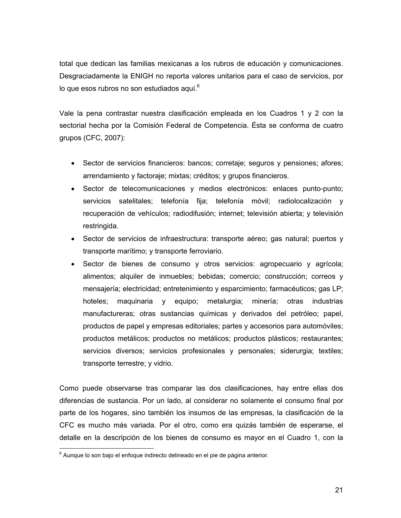total que dedican las familias mexicanas a los rubros de educación y comunicaciones. Desgraciadamente la ENIGH no reporta valores unitarios para el caso de servicios, por lo que esos rubros no son estudiados aquí. $6$ 

Vale la pena contrastar nuestra clasificación empleada en los Cuadros 1 y 2 con la sectorial hecha por la Comisión Federal de Competencia. Ésta se conforma de cuatro grupos (CFC, 2007):

- Sector de servicios financieros: bancos; corretaje; seguros y pensiones; afores; arrendamiento y factoraje; mixtas; créditos; y grupos financieros.
- Sector de telecomunicaciones y medios electrónicos: enlaces punto-punto; servicios satelitales; telefonía fija; telefonía móvil; radiolocalización y recuperación de vehículos; radiodifusión; internet; televisión abierta; y televisión restringida.
- Sector de servicios de infraestructura: transporte aéreo; gas natural; puertos y transporte marítimo; y transporte ferroviario.
- Sector de bienes de consumo y otros servicios: agropecuario y agrícola; alimentos; alquiler de inmuebles; bebidas; comercio; construcción; correos y mensajería; electricidad; entretenimiento y esparcimiento; farmacéuticos; gas LP; hoteles; maquinaria y equipo; metalurgia; minería; otras industrias manufactureras; otras sustancias químicas y derivados del petróleo; papel, productos de papel y empresas editoriales; partes y accesorios para automóviles; productos metálicos; productos no metálicos; productos plásticos; restaurantes; servicios diversos; servicios profesionales y personales; siderurgia; textiles; transporte terrestre; y vidrio.

Como puede observarse tras comparar las dos clasificaciones, hay entre ellas dos diferencias de sustancia. Por un lado, al considerar no solamente el consumo final por parte de los hogares, sino también los insumos de las empresas, la clasificación de la CFC es mucho más variada. Por el otro, como era quizás también de esperarse, el detalle en la descripción de los bienes de consumo es mayor en el Cuadro 1, con la

entica<br><sup>6</sup> Aunque lo son bajo el enfoque indirecto delineado en el pie de página anterior.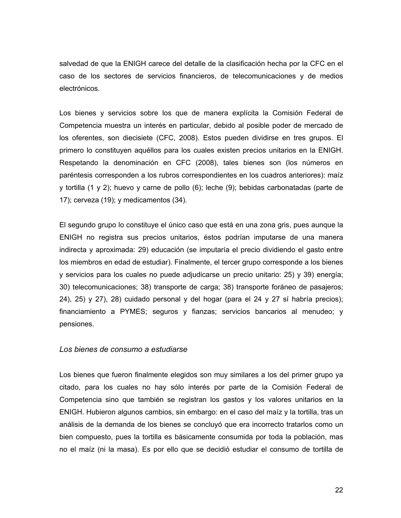salvedad de que la ENIGH carece del detalle de la clasificación hecha por la CFC en el caso de los sectores de servicios financieros, de telecomunicaciones y de medios electrónicos.

Los bienes y servicios sobre los que de manera explícita la Comisión Federal de Competencia muestra un interés en particular, debido al posible poder de mercado de los oferentes, son diecisiete (CFC, 2008). Estos pueden dividirse en tres grupos. El primero lo constituyen aquéllos para los cuales existen precios unitarios en la ENIGH. Respetando la denominación en CFC (2008), tales bienes son (los números en paréntesis corresponden a los rubros correspondientes en los cuadros anteriores): maíz y tortilla (1 y 2); huevo y carne de pollo (6); leche (9); bebidas carbonatadas (parte de 17); cerveza (19); y medicamentos (34).

El segundo grupo lo constituye el único caso que está en una zona gris, pues aunque la ENIGH no registra sus precios unitarios, éstos podrían imputarse de una manera indirecta y aproximada: 29) educación (se imputaría el precio dividiendo el gasto entre los miembros en edad de estudiar). Finalmente, el tercer grupo corresponde a los bienes y servicios para los cuales no puede adjudicarse un precio unitario: 25) y 39) energía; 30) telecomunicaciones; 38) transporte de carga; 38) transporte foráneo de pasajeros; 24), 25) y 27), 28) cuidado personal y del hogar (para el 24 y 27 sí habría precios); financiamiento a PYMES; seguros y fianzas; servicios bancarios al menudeo; y pensiones.

### *Los bienes de consumo a estudiarse*

Los bienes que fueron finalmente elegidos son muy similares a los del primer grupo ya citado, para los cuales no hay sólo interés por parte de la Comisión Federal de Competencia sino que también se registran los gastos y los valores unitarios en la ENIGH. Hubieron algunos cambios, sin embargo: en el caso del maíz y la tortilla, tras un análisis de la demanda de los bienes se concluyó que era incorrecto tratarlos como un bien compuesto, pues la tortilla es básicamente consumida por toda la población, mas no el maíz (ni la masa). Es por ello que se decidió estudiar el consumo de tortilla de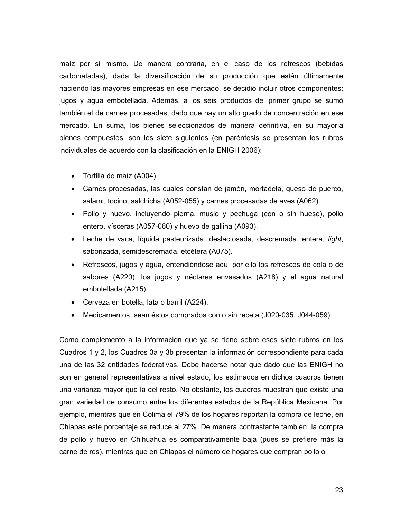maíz por sí mismo. De manera contraria, en el caso de los refrescos (bebidas carbonatadas), dada la diversificación de su producción que están últimamente haciendo las mayores empresas en ese mercado, se decidió incluir otros componentes: jugos y agua embotellada. Además, a los seis productos del primer grupo se sumó también el de carnes procesadas, dado que hay un alto grado de concentración en ese mercado. En suma, los bienes seleccionados de manera definitiva, en su mayoría bienes compuestos, son los siete siguientes (en paréntesis se presentan los rubros individuales de acuerdo con la clasificación en la ENIGH 2006):

- Tortilla de maíz (A004).
- Carnes procesadas, las cuales constan de jamón, mortadela, queso de puerco, salami, tocino, salchicha (A052-055) y carnes procesadas de aves (A062).
- Pollo y huevo, incluyendo pierna, muslo y pechuga (con o sin hueso), pollo entero, vísceras (A057-060) y huevo de gallina (A093).
- Leche de vaca, líquida pasteurizada, deslactosada, descremada, entera, *light*, saborizada, semidescremada, etcétera (A075).
- Refrescos, jugos y agua, entendiéndose aquí por ello los refrescos de cola o de sabores (A220), los jugos y néctares envasados (A218) y el agua natural embotellada (A215).
- Cerveza en botella, lata o barril (A224).
- Medicamentos, sean éstos comprados con o sin receta (J020-035, J044-059).

Como complemento a la información que ya se tiene sobre esos siete rubros en los Cuadros 1 y 2, los Cuadros 3a y 3b presentan la información correspondiente para cada una de las 32 entidades federativas. Debe hacerse notar que dado que las ENIGH no son en general representativas a nivel estado, los estimados en dichos cuadros tienen una varianza mayor que la del resto. No obstante, los cuadros muestran que existe una gran variedad de consumo entre los diferentes estados de la República Mexicana. Por ejemplo, mientras que en Colima el 79% de los hogares reportan la compra de leche, en Chiapas este porcentaje se reduce al 27%. De manera contrastante también, la compra de pollo y huevo en Chihuahua es comparativamente baja (pues se prefiere más la carne de res), mientras que en Chiapas el número de hogares que compran pollo o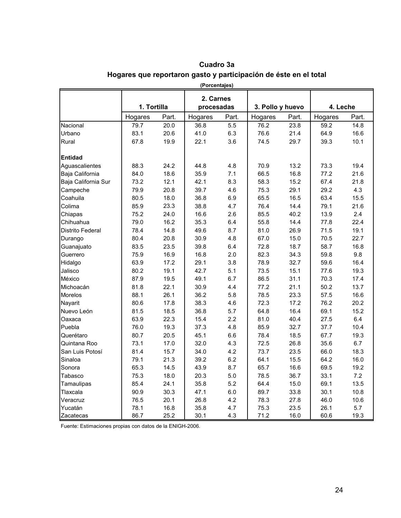| (Porcentajes)       |             |       |                         |       |                  |       |          |       |
|---------------------|-------------|-------|-------------------------|-------|------------------|-------|----------|-------|
|                     | 1. Tortilla |       | 2. Carnes<br>procesadas |       | 3. Pollo y huevo |       | 4. Leche |       |
|                     | Hogares     | Part. | Hogares                 | Part. | Hogares          | Part. | Hogares  | Part. |
| Nacional            | 79.7        | 20.0  | 36.8                    | 5.5   | 76.2             | 23.8  | 59.2     | 14.8  |
| Urbano              | 83.1        | 20.6  | 41.0                    | 6.3   | 76.6             | 21.4  | 64.9     | 16.6  |
| Rural               | 67.8        | 19.9  | 22.1                    | 3.6   | 74.5             | 29.7  | 39.3     | 10.1  |
| <b>Entidad</b>      |             |       |                         |       |                  |       |          |       |
| Aguascalientes      | 88.3        | 24.2  | 44.8                    | 4.8   | 70.9             | 13.2  | 73.3     | 19.4  |
| Baja California     | 84.0        | 18.6  | 35.9                    | 7.1   | 66.5             | 16.8  | 77.2     | 21.6  |
| Baja California Sur | 73.2        | 12.1  | 42.1                    | 8.3   | 58.3             | 15.2  | 67.4     | 21.8  |
| Campeche            | 79.9        | 20.8  | 39.7                    | 4.6   | 75.3             | 29.1  | 29.2     | 4.3   |
| Coahuila            | 80.5        | 18.0  | 36.8                    | 6.9   | 65.5             | 16.5  | 63.4     | 15.5  |
| Colima              | 85.9        | 23.3  | 38.8                    | 4.7   | 76.4             | 14.4  | 79.1     | 21.6  |
| Chiapas             | 75.2        | 24.0  | 16.6                    | 2.6   | 85.5             | 40.2  | 13.9     | 2.4   |
| Chihuahua           | 79.0        | 16.2  | 35.3                    | 6.4   | 55.8             | 14.4  | 77.8     | 22.4  |
| Distrito Federal    | 78.4        | 14.8  | 49.6                    | 8.7   | 81.0             | 26.9  | 71.5     | 19.1  |
| Durango             | 80.4        | 20.8  | 30.9                    | 4.8   | 67.0             | 15.0  | 70.5     | 22.7  |
| Guanajuato          | 83.5        | 23.5  | 39.8                    | 6.4   | 72.8             | 18.7  | 58.7     | 16.8  |
| Guerrero            | 75.9        | 16.9  | 16.8                    | 2.0   | 82.3             | 34.3  | 59.8     | 9.8   |
| Hidalgo             | 63.9        | 17.2  | 29.1                    | 3.8   | 78.9             | 32.7  | 59.6     | 16.4  |
| Jalisco             | 80.2        | 19.1  | 42.7                    | 5.1   | 73.5             | 15.1  | 77.6     | 19.3  |
| México              | 87.9        | 19.5  | 49.1                    | 6.7   | 86.5             | 31.1  | 70.3     | 17.4  |
| Michoacán           | 81.8        | 22.1  | 30.9                    | 4.4   | 77.2             | 21.1  | 50.2     | 13.7  |
| Morelos             | 88.1        | 26.1  | 36.2                    | 5.8   | 78.5             | 23.3  | 57.5     | 16.6  |
| Nayarit             | 80.6        | 17.8  | 38.3                    | 4.6   | 72.3             | 17.2  | 76.2     | 20.2  |
| Nuevo León          | 81.5        | 18.5  | 36.8                    | 5.7   | 64.8             | 16.4  | 69.1     | 15.2  |
| Oaxaca              | 63.9        | 22.3  | 15.4                    | 2.2   | 81.0             | 40.4  | 27.5     | 6.4   |
| Puebla              | 76.0        | 19.3  | 37.3                    | 4.8   | 85.9             | 32.7  | 37.7     | 10.4  |
| Querétaro           | 80.7        | 20.5  | 45.1                    | 6.6   | 78.4             | 18.5  | 67.7     | 19.3  |
| Quintana Roo        | 73.1        | 17.0  | 32.0                    | 4.3   | 72.5             | 26.8  | 35.6     | 6.7   |
| San Luis Potosí     | 81.4        | 15.7  | 34.0                    | 4.2   | 73.7             | 23.5  | 66.0     | 18.3  |
| Sinaloa             | 79.1        | 21.3  | 39.2                    | 6.2   | 64.1             | 15.5  | 64.2     | 16.0  |
| Sonora              | 65.3        | 14.5  | 43.9                    | 8.7   | 65.7             | 16.6  | 69.5     | 19.2  |
| Tabasco             | 75.3        | 18.0  | 20.3                    | 5.0   | 78.5             | 36.7  | 33.1     | 7.2   |
| Tamaulipas          | 85.4        | 24.1  | 35.8                    | 5.2   | 64.4             | 15.0  | 69.1     | 13.5  |
| Tlaxcala            | 90.9        | 30.3  | 47.1                    | 6.0   | 89.7             | 33.8  | 30.1     | 10.8  |
| Veracruz            | 76.5        | 20.1  | 26.8                    | 4.2   | 78.3             | 27.8  | 46.0     | 10.6  |
| Yucatán             | 78.1        | 16.8  | 35.8                    | 4.7   | 75.3             | 23.5  | 26.1     | 5.7   |
| Zacatecas           | 86.7        | 25.2  | 30.1                    | 4.3   | 71.2             | 16.0  | 60.6     | 19.3  |

# **Cuadro 3a Hogares que reportaron gasto y participación de éste en el total**

Fuente: Estimaciones propias con datos de la ENIGH-2006.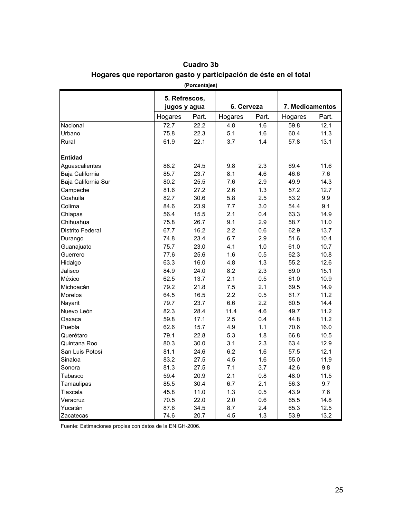|                     | 5. Refrescos, |       |            |       |                 |       |
|---------------------|---------------|-------|------------|-------|-----------------|-------|
|                     | jugos y agua  |       | 6. Cerveza |       | 7. Medicamentos |       |
|                     | Hogares       | Part. | Hogares    | Part. | Hogares         | Part. |
| Nacional            | 72.7          | 22.2  | 4.8        | 1.6   | 59.8            | 12.1  |
| Urbano              | 75.8          | 22.3  | 5.1        | 1.6   | 60.4            | 11.3  |
| Rural               | 61.9          | 22.1  | 3.7        | 1.4   | 57.8            | 13.1  |
| <b>Entidad</b>      |               |       |            |       |                 |       |
| Aguascalientes      | 88.2          | 24.5  | 9.8        | 2.3   | 69.4            | 11.6  |
| Baja California     | 85.7          | 23.7  | 8.1        | 4.6   | 46.6            | 7.6   |
| Baja California Sur | 80.2          | 25.5  | 7.6        | 2.9   | 49.9            | 14.3  |
| Campeche            | 81.6          | 27.2  | 2.6        | 1.3   | 57.2            | 12.7  |
| Coahuila            | 82.7          | 30.6  | 5.8        | 2.5   | 53.2            | 9.9   |
| Colima              | 84.6          | 23.9  | 7.7        | 3.0   | 54.4            | 9.1   |
| Chiapas             | 56.4          | 15.5  | 2.1        | 0.4   | 63.3            | 14.9  |
| Chihuahua           | 75.8          | 26.7  | 9.1        | 2.9   | 58.7            | 11.0  |
| Distrito Federal    | 67.7          | 16.2  | 2.2        | 0.6   | 62.9            | 13.7  |
| Durango             | 74.8          | 23.4  | 6.7        | 2.9   | 51.6            | 10.4  |
| Guanajuato          | 75.7          | 23.0  | 4.1        | 1.0   | 61.0            | 10.7  |
| Guerrero            | 77.6          | 25.6  | 1.6        | 0.5   | 62.3            | 10.8  |
| Hidalgo             | 63.3          | 16.0  | 4.8        | 1.3   | 55.2            | 12.6  |
| Jalisco             | 84.9          | 24.0  | 8.2        | 2.3   | 69.0            | 15.1  |
| México              | 62.5          | 13.7  | 2.1        | 0.5   | 61.0            | 10.9  |
| Michoacán           | 79.2          | 21.8  | 7.5        | 2.1   | 69.5            | 14.9  |
| <b>Morelos</b>      | 64.5          | 16.5  | 2.2        | 0.5   | 61.7            | 11.2  |
| Nayarit             | 79.7          | 23.7  | 6.6        | 2.2   | 60.5            | 14.4  |
| Nuevo León          | 82.3          | 28.4  | 11.4       | 4.6   | 49.7            | 11.2  |
| Oaxaca              | 59.8          | 17.1  | 2.5        | 0.4   | 44.8            | 11.2  |
| Puebla              | 62.6          | 15.7  | 4.9        | 1.1   | 70.6            | 16.0  |
| Querétaro           | 79.1          | 22.8  | 5.3        | 1.8   | 66.8            | 10.5  |
| Quintana Roo        | 80.3          | 30.0  | 3.1        | 2.3   | 63.4            | 12.9  |
| San Luis Potosí     | 81.1          | 24.6  | 6.2        | 1.6   | 57.5            | 12.1  |
| Sinaloa             | 83.2          | 27.5  | 4.5        | 1.6   | 55.0            | 11.9  |
| Sonora              | 81.3          | 27.5  | 7.1        | 3.7   | 42.6            | 9.8   |
| Tabasco             | 59.4          | 20.9  | 2.1        | 0.8   | 48.0            | 11.5  |
| Tamaulipas          | 85.5          | 30.4  | 6.7        | 2.1   | 56.3            | 9.7   |
| Tlaxcala            | 45.8          | 11.0  | 1.3        | 0.5   | 43.9            | 7.6   |
| Veracruz            | 70.5          | 22.0  | 2.0        | 0.6   | 65.5            | 14.8  |
| Yucatán             | 87.6          | 34.5  | 8.7        | 2.4   | 65.3            | 12.5  |
| Zacatecas           | 74.6          | 20.7  | 4.5        | 1.3   | 53.9            | 13.2  |

# **Cuadro 3b Hogares que reportaron gasto y participación de éste en el total (Porcentajes)**

Fuente: Estimaciones propias con datos de la ENIGH-2006.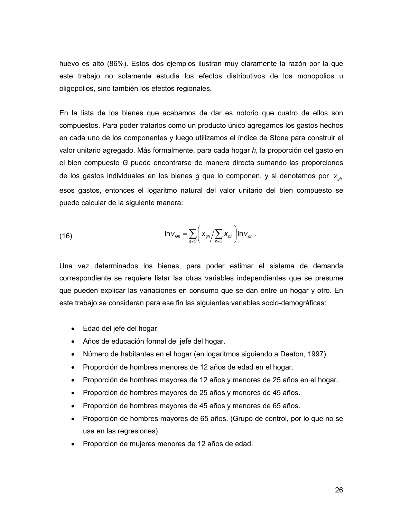huevo es alto (86%). Estos dos ejemplos ilustran muy claramente la razón por la que este trabajo no solamente estudia los efectos distributivos de los monopolios u oligopolios, sino también los efectos regionales.

En la lista de los bienes que acabamos de dar es notorio que cuatro de ellos son compuestos. Para poder tratarlos como un producto único agregamos los gastos hechos en cada uno de los componentes y luego utilizamos el índice de Stone para construir el valor unitario agregado. Más formalmente, para cada hogar *h*, la proporción del gasto en el bien compuesto *G* puede encontrarse de manera directa sumando las proporciones de los gastos individuales en los bienes *g* que lo componen, y si denotamos por *xgh* esos gastos, entonces el logaritmo natural del valor unitario del bien compuesto se puede calcular de la siguiente manera:

(16) 
$$
\ln V_{\text{G}h} = \sum_{g \in G} \left( X_{gh} / \sum_{b \in G} X_{bh} \right) \ln V_{gh}.
$$

Una vez determinados los bienes, para poder estimar el sistema de demanda correspondiente se requiere listar las otras variables independientes que se presume que pueden explicar las variaciones en consumo que se dan entre un hogar y otro. En este trabajo se consideran para ese fin las siguientes variables socio-demográficas:

- Edad del jefe del hogar.
- Años de educación formal del jefe del hogar.
- Número de habitantes en el hogar (en logaritmos siguiendo a Deaton, 1997).
- Proporción de hombres menores de 12 años de edad en el hogar.
- Proporción de hombres mayores de 12 años y menores de 25 años en el hogar.
- Proporción de hombres mayores de 25 años y menores de 45 años.
- Proporción de hombres mayores de 45 años y menores de 65 años.
- Proporción de hombres mayores de 65 años. (Grupo de control, por lo que no se usa en las regresiones).
- Proporción de mujeres menores de 12 años de edad.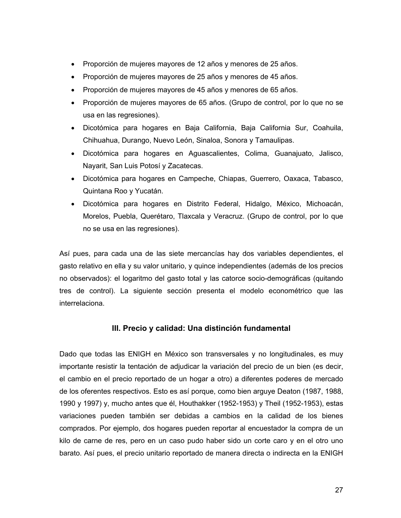- Proporción de mujeres mayores de 12 años y menores de 25 años.
- Proporción de mujeres mayores de 25 años y menores de 45 años.
- Proporción de mujeres mayores de 45 años y menores de 65 años.
- Proporción de mujeres mayores de 65 años. (Grupo de control, por lo que no se usa en las regresiones).
- Dicotómica para hogares en Baja California, Baja California Sur, Coahuila, Chihuahua, Durango, Nuevo León, Sinaloa, Sonora y Tamaulipas.
- Dicotómica para hogares en Aguascalientes, Colima, Guanajuato, Jalisco, Nayarit, San Luis Potosí y Zacatecas.
- Dicotómica para hogares en Campeche, Chiapas, Guerrero, Oaxaca, Tabasco, Quintana Roo y Yucatán.
- Dicotómica para hogares en Distrito Federal, Hidalgo, México, Michoacán, Morelos, Puebla, Querétaro, Tlaxcala y Veracruz. (Grupo de control, por lo que no se usa en las regresiones).

Así pues, para cada una de las siete mercancías hay dos variables dependientes, el gasto relativo en ella y su valor unitario, y quince independientes (además de los precios no observados): el logaritmo del gasto total y las catorce socio-demográficas (quitando tres de control). La siguiente sección presenta el modelo econométrico que las interrelaciona.

## **III. Precio y calidad: Una distinción fundamental**

Dado que todas las ENIGH en México son transversales y no longitudinales, es muy importante resistir la tentación de adjudicar la variación del precio de un bien (es decir, el cambio en el precio reportado de un hogar a otro) a diferentes poderes de mercado de los oferentes respectivos. Esto es así porque, como bien arguye Deaton (1987, 1988, 1990 y 1997) y, mucho antes que él, Houthakker (1952-1953) y Theil (1952-1953), estas variaciones pueden también ser debidas a cambios en la calidad de los bienes comprados. Por ejemplo, dos hogares pueden reportar al encuestador la compra de un kilo de carne de res, pero en un caso pudo haber sido un corte caro y en el otro uno barato. Así pues, el precio unitario reportado de manera directa o indirecta en la ENIGH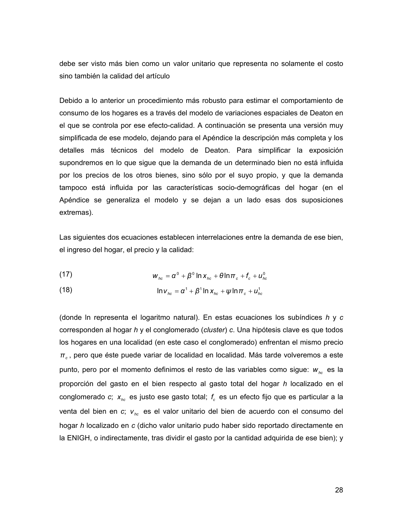debe ser visto más bien como un valor unitario que representa no solamente el costo sino también la calidad del artículo

Debido a lo anterior un procedimiento más robusto para estimar el comportamiento de consumo de los hogares es a través del modelo de variaciones espaciales de Deaton en el que se controla por ese efecto-calidad. A continuación se presenta una versión muy simplificada de ese modelo, dejando para el Apéndice la descripción más completa y los detalles más técnicos del modelo de Deaton. Para simplificar la exposición supondremos en lo que sigue que la demanda de un determinado bien no está influida por los precios de los otros bienes, sino sólo por el suyo propio, y que la demanda tampoco está influida por las características socio-demográficas del hogar (en el Apéndice se generaliza el modelo y se dejan a un lado esas dos suposiciones extremas).

Las siguientes dos ecuaciones establecen interrelaciones entre la demanda de ese bien, el ingreso del hogar, el precio y la calidad:

(17) 
$$
W_{hc} = \alpha^0 + \beta^0 \ln X_{hc} + \theta \ln \pi_c + f_c + u_{hc}^0
$$

(18) 
$$
\ln v_{hc} = \alpha^1 + \beta^1 \ln x_{hc} + \psi \ln \pi_c + u_{hc}^1
$$

(donde ln representa el logaritmo natural). En estas ecuaciones los subíndices *h* y *c* corresponden al hogar *h* y el conglomerado (*cluster*) *c*. Una hipótesis clave es que todos los hogares en una localidad (en este caso el conglomerado) enfrentan el mismo precio *π<sup>c</sup>* , pero que éste puede variar de localidad en localidad. Más tarde volveremos a este punto, pero por el momento definimos el resto de las variables como sigue: *whc* es la proporción del gasto en el bien respecto al gasto total del hogar *h* localizado en el conglomerado *c*;  $x_{hc}$  es justo ese gasto total;  $f_c$  es un efecto fijo que es particular a la venta del bien en *c*; *v hc* es el valor unitario del bien de acuerdo con el consumo del hogar *h* localizado en *c* (dicho valor unitario pudo haber sido reportado directamente en la ENIGH, o indirectamente, tras dividir el gasto por la cantidad adquirida de ese bien); y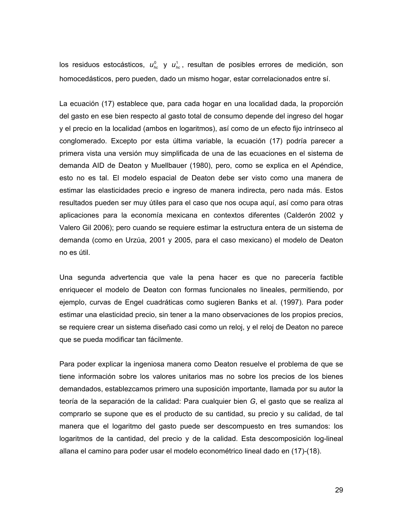los residuos estocásticos,  $u_{bc}^0$  y  $u_{bc}^1$ , resultan de posibles errores de medición, son homocedásticos, pero pueden, dado un mismo hogar, estar correlacionados entre sí.

La ecuación (17) establece que, para cada hogar en una localidad dada, la proporción del gasto en ese bien respecto al gasto total de consumo depende del ingreso del hogar y el precio en la localidad (ambos en logaritmos), así como de un efecto fijo intrínseco al conglomerado. Excepto por esta última variable, la ecuación (17) podría parecer a primera vista una versión muy simplificada de una de las ecuaciones en el sistema de demanda AID de Deaton y Muellbauer (1980), pero, como se explica en el Apéndice, esto no es tal. El modelo espacial de Deaton debe ser visto como una manera de estimar las elasticidades precio e ingreso de manera indirecta, pero nada más. Estos resultados pueden ser muy útiles para el caso que nos ocupa aquí, así como para otras aplicaciones para la economía mexicana en contextos diferentes (Calderón 2002 y Valero Gil 2006); pero cuando se requiere estimar la estructura entera de un sistema de demanda (como en Urzúa, 2001 y 2005, para el caso mexicano) el modelo de Deaton no es útil.

Una segunda advertencia que vale la pena hacer es que no parecería factible enriquecer el modelo de Deaton con formas funcionales no lineales, permitiendo, por ejemplo, curvas de Engel cuadráticas como sugieren Banks et al. (1997). Para poder estimar una elasticidad precio, sin tener a la mano observaciones de los propios precios, se requiere crear un sistema diseñado casi como un reloj, y el reloj de Deaton no parece que se pueda modificar tan fácilmente.

Para poder explicar la ingeniosa manera como Deaton resuelve el problema de que se tiene información sobre los valores unitarios mas no sobre los precios de los bienes demandados, establezcamos primero una suposición importante, llamada por su autor la teoría de la separación de la calidad: Para cualquier bien *G*, el gasto que se realiza al comprarlo se supone que es el producto de su cantidad, su precio y su calidad, de tal manera que el logaritmo del gasto puede ser descompuesto en tres sumandos: los logaritmos de la cantidad, del precio y de la calidad. Esta descomposición log-lineal allana el camino para poder usar el modelo econométrico lineal dado en (17)-(18).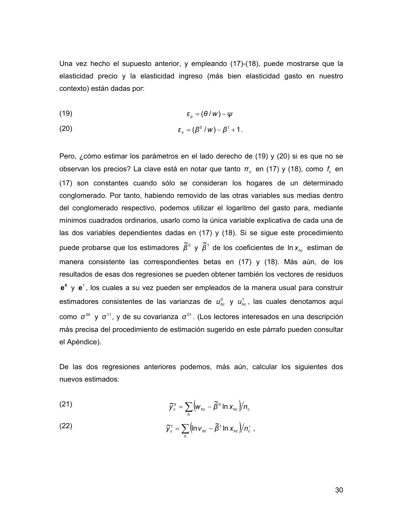Una vez hecho el supuesto anterior, y empleando (17)-(18), puede mostrarse que la elasticidad precio y la elasticidad ingreso (más bien elasticidad gasto en nuestro contexto) están dadas por:

$$
\varepsilon_p = (\theta / w) - \psi
$$

$$
\varepsilon_{x} = (\beta^0 / w) - \beta^1 + 1.
$$

Pero, ¿cómo estimar los parámetros en el lado derecho de (19) y (20) si es que no se observan los precios? La clave está en notar que tanto  $\pi_c$  en (17) y (18), como  $f_c$  en (17) son constantes cuando sólo se consideran los hogares de un determinado conglomerado. Por tanto, habiendo removido de las otras variables sus medias dentro del conglomerado respectivo, podemos utilizar el logaritmo del gasto para, mediante mínimos cuadrados ordinarios, usarlo como la única variable explicativa de cada una de las dos variables dependientes dadas en (17) y (18). Si se sigue este procedimiento puede probarse que los estimadores  $\tilde{\beta}^{\circ}$  y  $\tilde{\beta}^{\circ}$  de los coeficientes de *ln x<sub>hc</sub>* estiman de manera consistente las correspondientes betas en (17) y (18). Más aún, de los resultados de esas dos regresiones se pueden obtener también los vectores de residuos **e**<sup>o</sup> y **e**<sup>1</sup>, los cuales a su vez pueden ser empleados de la manera usual para construir estimadores consistentes de las varianzas de  $u_{nc}^0$  y  $u_{nc}^1$ , las cuales denotamos aquí como σ<sup>00</sup> y σ<sup>11</sup>, y de su covarianza σ<sup>01</sup>. (Los lectores interesados en una descripción más precisa del procedimiento de estimación sugerido en este párrafo pueden consultar el Apéndice).

De las dos regresiones anteriores podemos, más aún, calcular los siguientes dos nuevos estimados:

(21) 
$$
\widetilde{y}_{c}^{\circ} = \sum_{h} \left( w_{hc} - \widetilde{\beta}^{\circ} \ln x_{hc} \right) / n_{c}
$$

(22) 
$$
\widetilde{y}_c^1 = \sum_h \left( \ln v_{hc} - \widetilde{\beta}^1 \ln x_{hc} \right) / n_c^+,
$$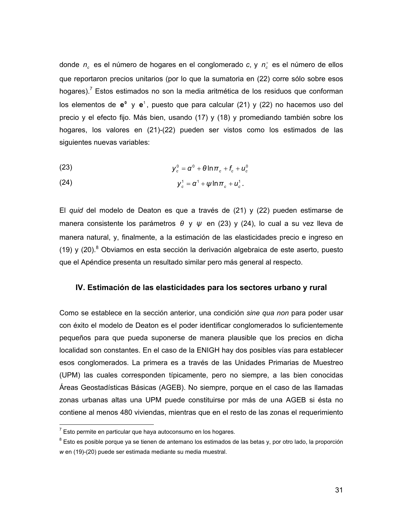donde  $n_c$  es el número de hogares en el conglomerado *c*, y  $n_c^+$  es el número de ellos que reportaron precios unitarios (por lo que la sumatoria en (22) corre sólo sobre esos hogares).<sup>7</sup> Estos estimados no son la media aritmética de los residuos que conforman los elementos de  $e^0$  y  $e^1$ , puesto que para calcular (21) y (22) no hacemos uso del precio y el efecto fijo. Más bien, usando (17) y (18) y promediando también sobre los hogares, los valores en (21)-(22) pueden ser vistos como los estimados de las siguientes nuevas variables:

$$
y_c^0 = \alpha^0 + \theta \ln \pi_c + f_c + u_c^0
$$

(24) 
$$
y_c^1 = \alpha^1 + \psi \ln \pi_c + u_c^1.
$$

El *quid* del modelo de Deaton es que a través de (21) y (22) pueden estimarse de manera consistente los parámetros *θ* y *ψ* en (23) y (24), lo cual a su vez lleva de manera natural, y, finalmente, a la estimación de las elasticidades precio e ingreso en  $(19)$  y  $(20)$ .<sup>8</sup> Obviamos en esta sección la derivación algebraica de este aserto, puesto que el Apéndice presenta un resultado similar pero más general al respecto.

### **IV. Estimación de las elasticidades para los sectores urbano y rural**

Como se establece en la sección anterior, una condición *sine qua non* para poder usar con éxito el modelo de Deaton es el poder identificar conglomerados lo suficientemente pequeños para que pueda suponerse de manera plausible que los precios en dicha localidad son constantes. En el caso de la ENIGH hay dos posibles vías para establecer esos conglomerados. La primera es a través de las Unidades Primarias de Muestreo (UPM) las cuales corresponden típicamente, pero no siempre, a las bien conocidas Áreas Geostadísticas Básicas (AGEB). No siempre, porque en el caso de las llamadas zonas urbanas altas una UPM puede constituirse por más de una AGEB si ésta no contiene al menos 480 viviendas, mientras que en el resto de las zonas el requerimiento

 7 Esto permite en particular que haya autoconsumo en los hogares.

<sup>&</sup>lt;sup>8</sup> Esto es posible porque ya se tienen de antemano los estimados de las betas y, por otro lado, la proporción *w* en (19)-(20) puede ser estimada mediante su media muestral.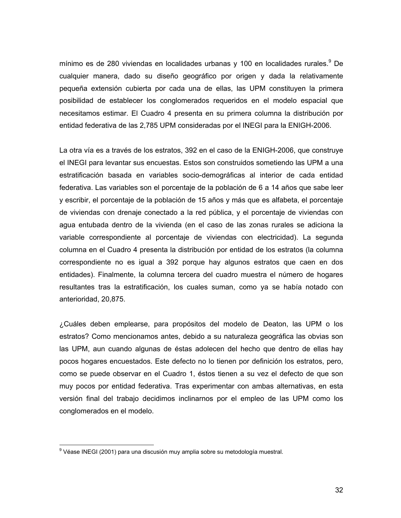mínimo es de 280 viviendas en localidades urbanas y 100 en localidades rurales.<sup>9</sup> De cualquier manera, dado su diseño geográfico por origen y dada la relativamente pequeña extensión cubierta por cada una de ellas, las UPM constituyen la primera posibilidad de establecer los conglomerados requeridos en el modelo espacial que necesitamos estimar. El Cuadro 4 presenta en su primera columna la distribución por entidad federativa de las 2,785 UPM consideradas por el INEGI para la ENIGH-2006.

La otra vía es a través de los estratos, 392 en el caso de la ENIGH-2006, que construye el INEGI para levantar sus encuestas. Estos son construidos sometiendo las UPM a una estratificación basada en variables socio-demográficas al interior de cada entidad federativa. Las variables son el porcentaje de la población de 6 a 14 años que sabe leer y escribir, el porcentaje de la población de 15 años y más que es alfabeta, el porcentaje de viviendas con drenaje conectado a la red pública, y el porcentaje de viviendas con agua entubada dentro de la vivienda (en el caso de las zonas rurales se adiciona la variable correspondiente al porcentaje de viviendas con electricidad). La segunda columna en el Cuadro 4 presenta la distribución por entidad de los estratos (la columna correspondiente no es igual a 392 porque hay algunos estratos que caen en dos entidades). Finalmente, la columna tercera del cuadro muestra el número de hogares resultantes tras la estratificación, los cuales suman, como ya se había notado con anterioridad, 20,875.

¿Cuáles deben emplearse, para propósitos del modelo de Deaton, las UPM o los estratos? Como mencionamos antes, debido a su naturaleza geográfica las obvias son las UPM, aun cuando algunas de éstas adolecen del hecho que dentro de ellas hay pocos hogares encuestados. Este defecto no lo tienen por definición los estratos, pero, como se puede observar en el Cuadro 1, éstos tienen a su vez el defecto de que son muy pocos por entidad federativa. Tras experimentar con ambas alternativas, en esta versión final del trabajo decidimos inclinarnos por el empleo de las UPM como los conglomerados en el modelo.

 9 Véase INEGI (2001) para una discusión muy amplia sobre su metodología muestral.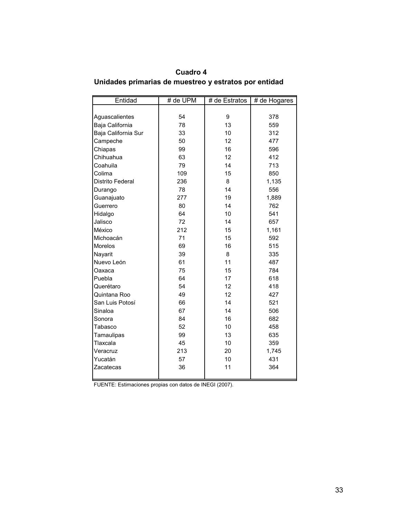| Cuadro 4                                              |  |
|-------------------------------------------------------|--|
| Unidades primarias de muestreo y estratos por entidad |  |

| Entidad                 | # de UPM | # de Estratos | # de Hogares |  |
|-------------------------|----------|---------------|--------------|--|
|                         |          |               |              |  |
| Aguascalientes          | 54       | 9             | 378          |  |
| Baja California         | 78       | 13            | 559          |  |
| Baja California Sur     | 33       | 10            | 312          |  |
| Campeche                | 50       | 12            | 477          |  |
| Chiapas                 | 99       | 16            | 596          |  |
| Chihuahua               | 63       | 12            | 412          |  |
| Coahuila                | 79       | 14            | 713          |  |
| Colima                  | 109      | 15            | 850          |  |
| <b>Distrito Federal</b> | 236      | 8             | 1,135        |  |
| Durango                 | 78       | 14            | 556          |  |
| Guanajuato              | 277      | 19            | 1,889        |  |
| Guerrero                | 80       | 14            | 762          |  |
| Hidalgo                 | 64       | 10            | 541          |  |
| Jalisco                 | 72       | 14            | 657          |  |
| México                  | 212      | 15            | 1,161        |  |
| Michoacán               | 71       | 15            | 592          |  |
| Morelos                 | 69       | 16            | 515          |  |
| Nayarit                 | 39       | 8             | 335          |  |
| Nuevo León              | 61       | 11            | 487          |  |
| Oaxaca                  | 75       | 15            | 784          |  |
| Puebla                  | 64       | 17            | 618          |  |
| Querétaro               | 54       | 12            | 418          |  |
| Quintana Roo            | 49       | 12            | 427          |  |
| San Luis Potosí         | 66       | 14            | 521          |  |
| Sinaloa                 | 67       | 14            | 506          |  |
| Sonora                  | 84       | 16            | 682          |  |
| Tabasco                 | 52       | 10            | 458          |  |
| Tamaulipas              | 99       | 13            | 635          |  |
| Tlaxcala                | 45       | 10            | 359          |  |
| Veracruz                | 213      | 20            | 1,745        |  |
| Yucatán                 | 57       | 10            | 431          |  |
| Zacatecas               | 36       | 11            | 364          |  |
|                         |          |               |              |  |

FUENTE: Estimaciones propias con datos de INEGI (2007).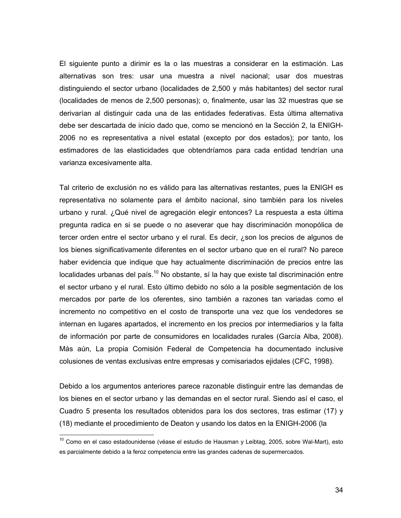El siguiente punto a dirimir es la o las muestras a considerar en la estimación. Las alternativas son tres: usar una muestra a nivel nacional; usar dos muestras distinguiendo el sector urbano (localidades de 2,500 y más habitantes) del sector rural (localidades de menos de 2,500 personas); o, finalmente, usar las 32 muestras que se derivarían al distinguir cada una de las entidades federativas. Esta última alternativa debe ser descartada de inicio dado que, como se mencionó en la Sección 2, la ENIGH-2006 no es representativa a nivel estatal (excepto por dos estados); por tanto, los estimadores de las elasticidades que obtendríamos para cada entidad tendrían una varianza excesivamente alta.

Tal criterio de exclusión no es válido para las alternativas restantes, pues la ENIGH es representativa no solamente para el ámbito nacional, sino también para los niveles urbano y rural. ¿Qué nivel de agregación elegir entonces? La respuesta a esta última pregunta radica en si se puede o no aseverar que hay discriminación monopólica de tercer orden entre el sector urbano y el rural. Es decir, ¿son los precios de algunos de los bienes significativamente diferentes en el sector urbano que en el rural? No parece haber evidencia que indique que hay actualmente discriminación de precios entre las  $localidades$  urbanas del país.<sup>10</sup> No obstante, sí la hay que existe tal discriminación entre el sector urbano y el rural. Esto último debido no sólo a la posible segmentación de los mercados por parte de los oferentes, sino también a razones tan variadas como el incremento no competitivo en el costo de transporte una vez que los vendedores se internan en lugares apartados, el incremento en los precios por intermediarios y la falta de información por parte de consumidores en localidades rurales (García Alba, 2008). Más aún, La propia Comisión Federal de Competencia ha documentado inclusive colusiones de ventas exclusivas entre empresas y comisariados ejidales (CFC, 1998).

Debido a los argumentos anteriores parece razonable distinguir entre las demandas de los bienes en el sector urbano y las demandas en el sector rural. Siendo así el caso, el Cuadro 5 presenta los resultados obtenidos para los dos sectores, tras estimar (17) y (18) mediante el procedimiento de Deaton y usando los datos en la ENIGH-2006 (la

 $\overline{a}$ 

<sup>&</sup>lt;sup>10</sup> Como en el caso estadounidense (véase el estudio de Hausman y Leibtag, 2005, sobre Wal-Mart), esto es parcialmente debido a la feroz competencia entre las grandes cadenas de supermercados.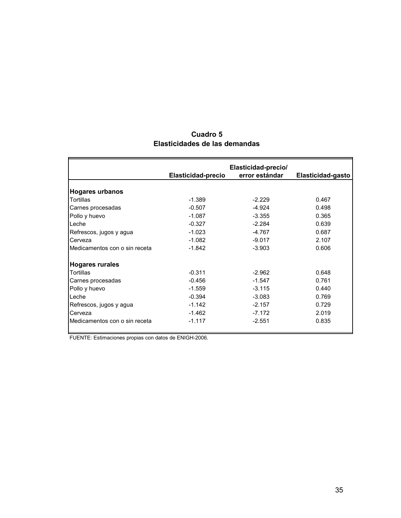|                               |                    | Elasticidad-precio/ |                   |
|-------------------------------|--------------------|---------------------|-------------------|
|                               | Elasticidad-precio | error estándar      | Elasticidad-gasto |
| <b>Hogares urbanos</b>        |                    |                     |                   |
| Tortillas                     | $-1.389$           | $-2.229$            | 0.467             |
| Carnes procesadas             | $-0.507$           | $-4.924$            | 0.498             |
| Pollo y huevo                 | $-1.087$           | $-3.355$            | 0.365             |
| Leche                         | $-0.327$           | $-2.284$            | 0.639             |
| Refrescos, jugos y agua       | $-1.023$           | -4.767              | 0.687             |
| Cerveza                       | $-1.082$           | $-9.017$            | 2.107             |
| Medicamentos con o sin receta | $-1.842$           | $-3.903$            | 0.606             |
| <b>Hogares rurales</b>        |                    |                     |                   |
| <b>Tortillas</b>              | $-0.311$           | $-2.962$            | 0.648             |
| Carnes procesadas             | $-0.456$           | $-1.547$            | 0.761             |
| Pollo y huevo                 | $-1.559$           | $-3.115$            | 0.440             |
| Leche                         | $-0.394$           | $-3.083$            | 0.769             |
| Refrescos, jugos y agua       | $-1.142$           | $-2.157$            | 0.729             |
| Cerveza                       | $-1.462$           | $-7.172$            | 2.019             |
| Medicamentos con o sin receta | $-1.117$           | $-2.551$            | 0.835             |

# **Cuadro 5 Elasticidades de las demandas**

FUENTE: Estimaciones propias con datos de ENIGH-2006.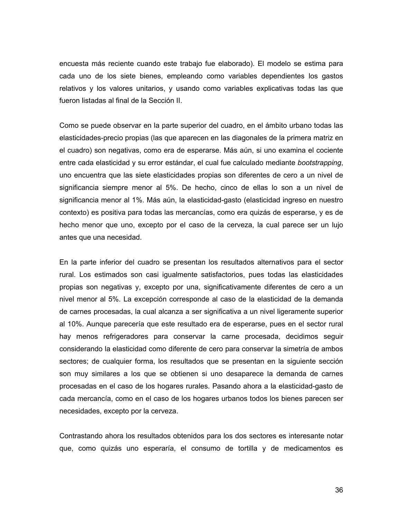encuesta más reciente cuando este trabajo fue elaborado). El modelo se estima para cada uno de los siete bienes, empleando como variables dependientes los gastos relativos y los valores unitarios, y usando como variables explicativas todas las que fueron listadas al final de la Sección II.

Como se puede observar en la parte superior del cuadro, en el ámbito urbano todas las elasticidades-precio propias (las que aparecen en las diagonales de la primera matriz en el cuadro) son negativas, como era de esperarse. Más aún, si uno examina el cociente entre cada elasticidad y su error estándar, el cual fue calculado mediante *bootstrapping*, uno encuentra que las siete elasticidades propias son diferentes de cero a un nivel de significancia siempre menor al 5%. De hecho, cinco de ellas lo son a un nivel de significancia menor al 1%. Más aún, la elasticidad-gasto (elasticidad ingreso en nuestro contexto) es positiva para todas las mercancías, como era quizás de esperarse, y es de hecho menor que uno, excepto por el caso de la cerveza, la cual parece ser un lujo antes que una necesidad.

En la parte inferior del cuadro se presentan los resultados alternativos para el sector rural. Los estimados son casi igualmente satisfactorios, pues todas las elasticidades propias son negativas y, excepto por una, significativamente diferentes de cero a un nivel menor al 5%. La excepción corresponde al caso de la elasticidad de la demanda de carnes procesadas, la cual alcanza a ser significativa a un nivel ligeramente superior al 10%. Aunque parecería que este resultado era de esperarse, pues en el sector rural hay menos refrigeradores para conservar la carne procesada, decidimos seguir considerando la elasticidad como diferente de cero para conservar la simetría de ambos sectores; de cualquier forma, los resultados que se presentan en la siguiente sección son muy similares a los que se obtienen si uno desaparece la demanda de carnes procesadas en el caso de los hogares rurales. Pasando ahora a la elasticidad-gasto de cada mercancía, como en el caso de los hogares urbanos todos los bienes parecen ser necesidades, excepto por la cerveza.

Contrastando ahora los resultados obtenidos para los dos sectores es interesante notar que, como quizás uno esperaría, el consumo de tortilla y de medicamentos es

36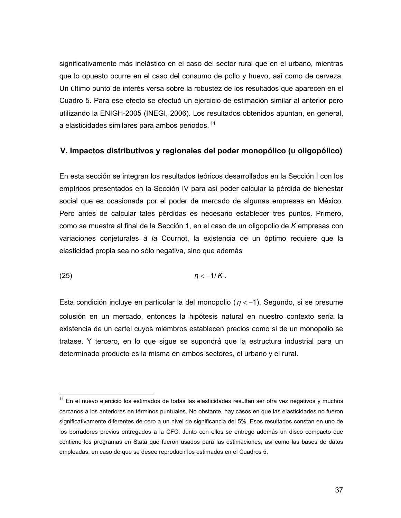significativamente más inelástico en el caso del sector rural que en el urbano, mientras que lo opuesto ocurre en el caso del consumo de pollo y huevo, así como de cerveza. Un último punto de interés versa sobre la robustez de los resultados que aparecen en el Cuadro 5. Para ese efecto se efectuó un ejercicio de estimación similar al anterior pero utilizando la ENIGH-2005 (INEGI, 2006). Los resultados obtenidos apuntan, en general, a elasticidades similares para ambos periodos.<sup>11</sup>

## **V. Impactos distributivos y regionales del poder monopólico (u oligopólico)**

En esta sección se integran los resultados teóricos desarrollados en la Sección I con los empíricos presentados en la Sección IV para así poder calcular la pérdida de bienestar social que es ocasionada por el poder de mercado de algunas empresas en México. Pero antes de calcular tales pérdidas es necesario establecer tres puntos. Primero, como se muestra al final de la Sección 1, en el caso de un oligopolio de *K* empresas con variaciones conjeturales *à la* Cournot, la existencia de un óptimo requiere que la elasticidad propia sea no sólo negativa, sino que además

$$
(25) \t\t \t\t \eta < -1/K.
$$

 $\overline{a}$ 

Esta condición incluye en particular la del monopolio (*η* < −1). Segundo, si se presume colusión en un mercado, entonces la hipótesis natural en nuestro contexto sería la existencia de un cartel cuyos miembros establecen precios como si de un monopolio se tratase. Y tercero, en lo que sigue se supondrá que la estructura industrial para un determinado producto es la misma en ambos sectores, el urbano y el rural.

 $11$  En el nuevo ejercicio los estimados de todas las elasticidades resultan ser otra vez negativos y muchos cercanos a los anteriores en términos puntuales. No obstante, hay casos en que las elasticidades no fueron significativamente diferentes de cero a un nivel de significancia del 5%. Esos resultados constan en uno de los borradores previos entregados a la CFC. Junto con ellos se entregó además un disco compacto que contiene los programas en Stata que fueron usados para las estimaciones, así como las bases de datos empleadas, en caso de que se desee reproducir los estimados en el Cuadros 5.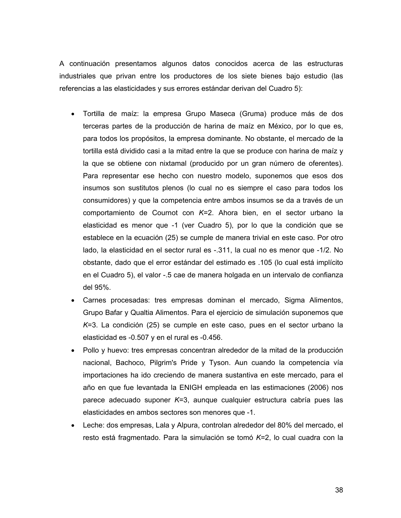A continuación presentamos algunos datos conocidos acerca de las estructuras industriales que privan entre los productores de los siete bienes bajo estudio (las referencias a las elasticidades y sus errores estándar derivan del Cuadro 5):

- Tortilla de maíz: la empresa Grupo Maseca (Gruma) produce más de dos terceras partes de la producción de harina de maíz en México, por lo que es, para todos los propósitos, la empresa dominante. No obstante, el mercado de la tortilla está dividido casi a la mitad entre la que se produce con harina de maíz y la que se obtiene con nixtamal (producido por un gran número de oferentes). Para representar ese hecho con nuestro modelo, suponemos que esos dos insumos son sustitutos plenos (lo cual no es siempre el caso para todos los consumidores) y que la competencia entre ambos insumos se da a través de un comportamiento de Cournot con *K*=2. Ahora bien, en el sector urbano la elasticidad es menor que -1 (ver Cuadro 5), por lo que la condición que se establece en la ecuación (25) se cumple de manera trivial en este caso. Por otro lado, la elasticidad en el sector rural es -.311, la cual no es menor que -1/2. No obstante, dado que el error estándar del estimado es .105 (lo cual está implícito en el Cuadro 5), el valor -.5 cae de manera holgada en un intervalo de confianza del 95%.
- Carnes procesadas: tres empresas dominan el mercado, Sigma Alimentos, Grupo Bafar y Qualtia Alimentos. Para el ejercicio de simulación suponemos que *K*=3. La condición (25) se cumple en este caso, pues en el sector urbano la elasticidad es -0.507 y en el rural es -0.456.
- Pollo y huevo: tres empresas concentran alrededor de la mitad de la producción nacional, Bachoco, Pilgrim's Pride y Tyson. Aun cuando la competencia vía importaciones ha ido creciendo de manera sustantiva en este mercado, para el año en que fue levantada la ENIGH empleada en las estimaciones (2006) nos parece adecuado suponer *K*=3, aunque cualquier estructura cabría pues las elasticidades en ambos sectores son menores que -1.
- Leche: dos empresas, Lala y Alpura, controlan alrededor del 80% del mercado, el resto está fragmentado. Para la simulación se tomó *K*=2, lo cual cuadra con la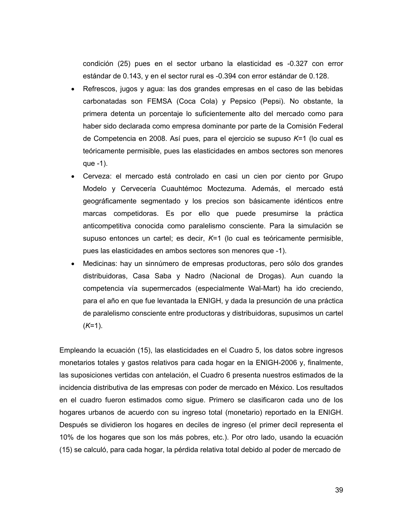condición (25) pues en el sector urbano la elasticidad es -0.327 con error estándar de 0.143, y en el sector rural es -0.394 con error estándar de 0.128.

- Refrescos, jugos y agua: las dos grandes empresas en el caso de las bebidas carbonatadas son FEMSA (Coca Cola) y Pepsico (Pepsi). No obstante, la primera detenta un porcentaje lo suficientemente alto del mercado como para haber sido declarada como empresa dominante por parte de la Comisión Federal de Competencia en 2008. Así pues, para el ejercicio se supuso *K*=1 (lo cual es teóricamente permisible, pues las elasticidades en ambos sectores son menores que -1).
- Cerveza: el mercado está controlado en casi un cien por ciento por Grupo Modelo y Cervecería Cuauhtémoc Moctezuma. Además, el mercado está geográficamente segmentado y los precios son básicamente idénticos entre marcas competidoras. Es por ello que puede presumirse la práctica anticompetitiva conocida como paralelismo consciente. Para la simulación se supuso entonces un cartel; es decir, *K*=1 (lo cual es teóricamente permisible, pues las elasticidades en ambos sectores son menores que -1).
- Medicinas: hay un sinnúmero de empresas productoras, pero sólo dos grandes distribuidoras, Casa Saba y Nadro (Nacional de Drogas). Aun cuando la competencia vía supermercados (especialmente Wal-Mart) ha ido creciendo, para el año en que fue levantada la ENIGH, y dada la presunción de una práctica de paralelismo consciente entre productoras y distribuidoras, supusimos un cartel (*K*=1).

Empleando la ecuación (15), las elasticidades en el Cuadro 5, los datos sobre ingresos monetarios totales y gastos relativos para cada hogar en la ENIGH-2006 y, finalmente, las suposiciones vertidas con antelación, el Cuadro 6 presenta nuestros estimados de la incidencia distributiva de las empresas con poder de mercado en México. Los resultados en el cuadro fueron estimados como sigue. Primero se clasificaron cada uno de los hogares urbanos de acuerdo con su ingreso total (monetario) reportado en la ENIGH. Después se dividieron los hogares en deciles de ingreso (el primer decil representa el 10% de los hogares que son los más pobres, etc.). Por otro lado, usando la ecuación (15) se calculó, para cada hogar, la pérdida relativa total debido al poder de mercado de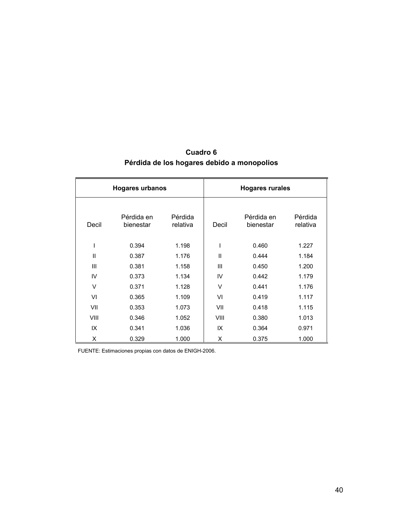| <b>Hogares urbanos</b> |                         |                     | <b>Hogares rurales</b> |                         |                     |  |  |
|------------------------|-------------------------|---------------------|------------------------|-------------------------|---------------------|--|--|
| Decil                  | Pérdida en<br>bienestar | Pérdida<br>relativa | Decil                  | Pérdida en<br>bienestar | Pérdida<br>relativa |  |  |
| I                      | 0.394                   | 1.198               | $\mathsf{I}$           | 0.460                   | 1.227               |  |  |
| $\mathbf{I}$           | 0.387                   | 1.176               | $\mathbf{I}$           | 0.444                   | 1.184               |  |  |
| III                    | 0.381                   | 1.158               | III                    | 0.450                   | 1.200               |  |  |
| IV                     | 0.373                   | 1.134               | IV                     | 0.442                   | 1.179               |  |  |
| $\vee$                 | 0.371                   | 1.128               | V                      | 0.441                   | 1.176               |  |  |
| VI                     | 0.365                   | 1.109               | VI                     | 0.419                   | 1.117               |  |  |
| VII                    | 0.353                   | 1.073               | VII                    | 0.418                   | 1.115               |  |  |
| VIII                   | 0.346                   | 1.052               | VIII                   | 0.380                   | 1.013               |  |  |
| IX                     | 0.341                   | 1.036               | IX                     | 0.364                   | 0.971               |  |  |
| X                      | 0.329                   | 1.000               | X                      | 0.375                   | 1.000               |  |  |

# **Cuadro 6 Pérdida de los hogares debido a monopolios**

FUENTE: Estimaciones propias con datos de ENIGH-2006.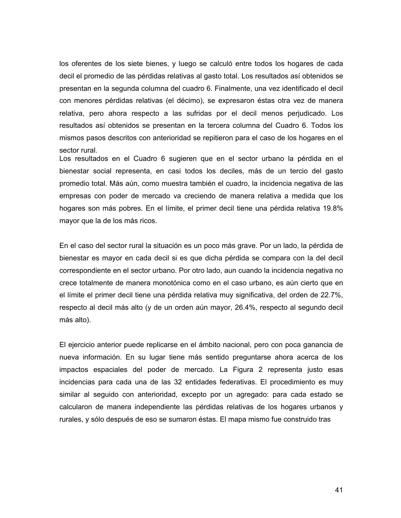los oferentes de los siete bienes, y luego se calculó entre todos los hogares de cada decil el promedio de las pérdidas relativas al gasto total. Los resultados así obtenidos se presentan en la segunda columna del cuadro 6. Finalmente, una vez identificado el decil con menores pérdidas relativas (el décimo), se expresaron éstas otra vez de manera relativa, pero ahora respecto a las sufridas por el decil menos perjudicado. Los resultados así obtenidos se presentan en la tercera columna del Cuadro 6. Todos los mismos pasos descritos con anterioridad se repitieron para el caso de los hogares en el sector rural.

Los resultados en el Cuadro 6 sugieren que en el sector urbano la pérdida en el bienestar social representa, en casi todos los deciles, más de un tercio del gasto promedio total. Más aún, como muestra también el cuadro, la incidencia negativa de las empresas con poder de mercado va creciendo de manera relativa a medida que los hogares son más pobres. En el límite, el primer decil tiene una pérdida relativa 19.8% mayor que la de los más ricos.

En el caso del sector rural la situación es un poco más grave. Por un lado, la pérdida de bienestar es mayor en cada decil si es que dicha pérdida se compara con la del decil correspondiente en el sector urbano. Por otro lado, aun cuando la incidencia negativa no crece totalmente de manera monotónica como en el caso urbano, es aún cierto que en el límite el primer decil tiene una pérdida relativa muy significativa, del orden de 22.7%, respecto al decil más alto (y de un orden aún mayor, 26.4%, respecto al segundo decil más alto).

El ejercicio anterior puede replicarse en el ámbito nacional, pero con poca ganancia de nueva información. En su lugar tiene más sentido preguntarse ahora acerca de los impactos espaciales del poder de mercado. La Figura 2 representa justo esas incidencias para cada una de las 32 entidades federativas. El procedimiento es muy similar al seguido con anterioridad, excepto por un agregado: para cada estado se calcularon de manera independiente las pérdidas relativas de los hogares urbanos y rurales, y sólo después de eso se sumaron éstas. El mapa mismo fue construido tras

41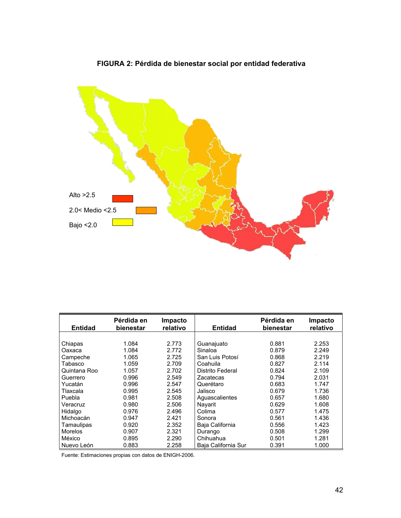

# **FIGURA 2: Pérdida de bienestar social por entidad federativa**

| <b>Entidad</b> | Pérdida en<br>bienestar | Impacto<br>relativo | <b>Entidad</b>      | Pérdida en<br>bienestar | Impacto<br>relativo |
|----------------|-------------------------|---------------------|---------------------|-------------------------|---------------------|
|                |                         |                     |                     |                         |                     |
| Chiapas        | 1.084                   | 2.773               | Guanajuato          | 0.881                   | 2.253               |
| Oaxaca         | 1.084                   | 2.772               | Sinaloa             | 0.879                   | 2.249               |
| Campeche       | 1.065                   | 2.725               | San Luis Potosí     | 0.868                   | 2.219               |
| Tabasco        | 1.059                   | 2.709               | Coahuila            | 0.827                   | 2.114               |
| Quintana Roo   | 1.057                   | 2.702               | Distrito Federal    | 0.824                   | 2.109               |
| Guerrero       | 0.996                   | 2.549               | Zacatecas           | 0.794                   | 2.031               |
| Yucatán        | 0.996                   | 2.547               | Querétaro           | 0.683                   | 1.747               |
| Tlaxcala       | 0.995                   | 2.545               | Jalisco             | 0.679                   | 1.736               |
| Puebla         | 0.981                   | 2.508               | Aguascalientes      | 0.657                   | 1.680               |
| Veracruz       | 0.980                   | 2.506               | Navarit             | 0.629                   | 1.608               |
| Hidalgo        | 0.976                   | 2.496               | Colima              | 0.577                   | 1.475               |
| Michoacán      | 0.947                   | 2.421               | Sonora              | 0.561                   | 1.436               |
| Tamaulipas     | 0.920                   | 2.352               | Baja California     | 0.556                   | 1.423               |
| <b>Morelos</b> | 0.907                   | 2.321               | Durango             | 0.508                   | 1.299               |
| México         | 0.895                   | 2.290               | Chihuahua           | 0.501                   | 1.281               |
| Nuevo León     | 0.883                   | 2.258               | Baia California Sur | 0.391                   | 1.000               |

Fuente: Estimaciones propias con datos de ENIGH-2006.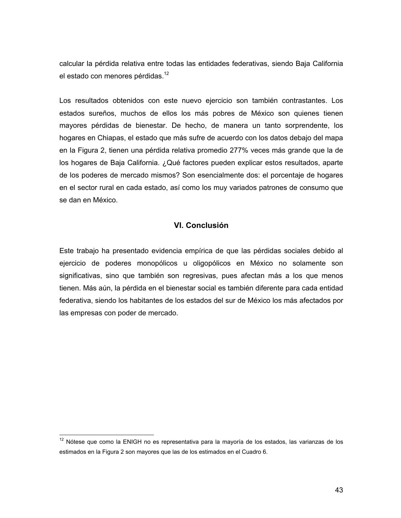calcular la pérdida relativa entre todas las entidades federativas, siendo Baja California el estado con menores pérdidas.<sup>12</sup>

Los resultados obtenidos con este nuevo ejercicio son también contrastantes. Los estados sureños, muchos de ellos los más pobres de México son quienes tienen mayores pérdidas de bienestar. De hecho, de manera un tanto sorprendente, los hogares en Chiapas, el estado que más sufre de acuerdo con los datos debajo del mapa en la Figura 2, tienen una pérdida relativa promedio 277% veces más grande que la de los hogares de Baja California. ¿Qué factores pueden explicar estos resultados, aparte de los poderes de mercado mismos? Son esencialmente dos: el porcentaje de hogares en el sector rural en cada estado, así como los muy variados patrones de consumo que se dan en México.

## **VI. Conclusión**

Este trabajo ha presentado evidencia empírica de que las pérdidas sociales debido al ejercicio de poderes monopólicos u oligopólicos en México no solamente son significativas, sino que también son regresivas, pues afectan más a los que menos tienen. Más aún, la pérdida en el bienestar social es también diferente para cada entidad federativa, siendo los habitantes de los estados del sur de México los más afectados por las empresas con poder de mercado.

 $\overline{a}$ 

 $12$  Nótese que como la ENIGH no es representativa para la mayoría de los estados, las varianzas de los estimados en la Figura 2 son mayores que las de los estimados en el Cuadro 6.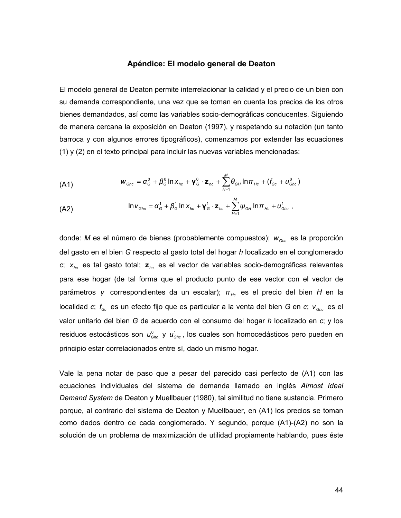#### **Apéndice: El modelo general de Deaton**

El modelo general de Deaton permite interrelacionar la calidad y el precio de un bien con su demanda correspondiente, una vez que se toman en cuenta los precios de los otros bienes demandados, así como las variables socio-demográficas conducentes. Siguiendo de manera cercana la exposición en Deaton (1997), y respetando su notación (un tanto barroca y con algunos errores tipográficos), comenzamos por extender las ecuaciones (1) y (2) en el texto principal para incluir las nuevas variables mencionadas:

$$
(A1) \t\t w_{Ghc} = \alpha_G^0 + \beta_G^0 \ln x_{hc} + \gamma_G^0 \cdot \mathbf{z}_{hc} + \sum_{H=1}^M \theta_{GH} \ln \pi_{He} + (f_{Gc} + u_{Ghc}^0)
$$

(A2) ∑= = + + ⋅ + + *M H Ghc <sup>G</sup> <sup>G</sup> hc <sup>G</sup> hc ψGH π Hc uGhc ν α β x* 1 <sup>1</sup> <sup>1</sup> <sup>1</sup> <sup>1</sup> ln ln **γ z** ln ,

donde: *M* es el número de bienes (probablemente compuestos);  $w_{Ghc}$  es la proporción del gasto en el bien *G* respecto al gasto total del hogar *h* localizado en el conglomerado *c*; *xhc* es tal gasto total; **z***hc* es el vector de variables socio-demográficas relevantes para ese hogar (de tal forma que el producto punto de ese vector con el vector de parámetros *γ* correspondientes da un escalar);  $\pi_{He}$  es el precio del bien *H* en la localidad *c*;  $f_{gc}$  es un efecto fijo que es particular a la venta del bien *G* en *c*;  $v_{Ghc}$  es el valor unitario del bien *G* de acuerdo con el consumo del hogar *h* localizado en *c*; y los residuos estocásticos son  $u_{\text{Ghc}}^0$  y  $u_{\text{Ghc}}^1$ , los cuales son homocedásticos pero pueden en principio estar correlacionados entre sí, dado un mismo hogar.

Vale la pena notar de paso que a pesar del parecido casi perfecto de (A1) con las ecuaciones individuales del sistema de demanda llamado en inglés *Almost Ideal Demand System* de Deaton y Muellbauer (1980), tal similitud no tiene sustancia. Primero porque, al contrario del sistema de Deaton y Muellbauer, en (A1) los precios se toman como dados dentro de cada conglomerado. Y segundo, porque (A1)-(A2) no son la solución de un problema de maximización de utilidad propiamente hablando, pues éste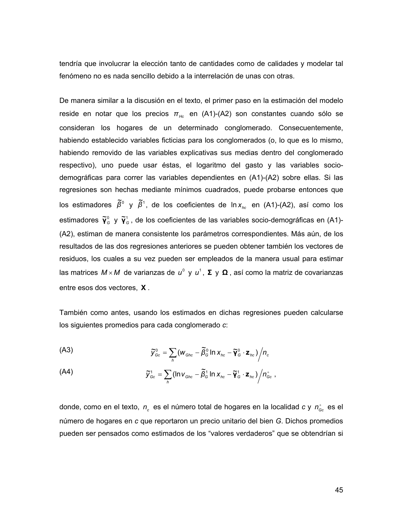tendría que involucrar la elección tanto de cantidades como de calidades y modelar tal fenómeno no es nada sencillo debido a la interrelación de unas con otras.

De manera similar a la discusión en el texto, el primer paso en la estimación del modelo reside en notar que los precios  $\pi_{Hc}$  en (A1)-(A2) son constantes cuando sólo se consideran los hogares de un determinado conglomerado. Consecuentemente, habiendo establecido variables ficticias para los conglomerados (o, lo que es lo mismo, habiendo removido de las variables explicativas sus medias dentro del conglomerado respectivo), uno puede usar éstas, el logaritmo del gasto y las variables sociodemográficas para correr las variables dependientes en (A1)-(A2) sobre ellas. Si las regresiones son hechas mediante mínimos cuadrados, puede probarse entonces que los estimadores  $\tilde{\beta}^0$  y  $\tilde{\beta}^1$ , de los coeficientes de ln x<sub>hc</sub> en (A1)-(A2), así como los estimadores  $\tilde{\mathbf{Y}}_G^0$  y  $\tilde{\mathbf{Y}}_G^1$ , de los coeficientes de las variables socio-demográficas en (A1)-(A2), estiman de manera consistente los parámetros correspondientes. Más aún, de los resultados de las dos regresiones anteriores se pueden obtener también los vectores de residuos, los cuales a su vez pueden ser empleados de la manera usual para estimar las matrices  $M \times M$  de varianzas de  $u^0$  γ  $u^1$ , **Σ** γ **Ω**, así como la matriz de covarianzas entre esos dos vectores, **Χ** .

También como antes, usando los estimados en dichas regresiones pueden calcularse los siguientes promedios para cada conglomerado *c*:

$$
\widetilde{V}_{Gc}^{0} = \sum_{h} (W_{Ghc} - \widetilde{\beta}_{G}^{0} \ln x_{hc} - \widetilde{\mathbf{Y}}_{G}^{0} \cdot \mathbf{z}_{hc})/n_{c}
$$

$$
\widetilde{y}_{Gc}^1 = \sum_h (\ln v_{Ghc} - \widetilde{\beta}_G^1 \ln x_{hc} - \widetilde{\gamma}_G^1 \cdot z_{hc}) / n_{Gc}^*,
$$

donde, como en el texto,  $n_c$  es el número total de hogares en la localidad *c* y  $n_{\scriptscriptstyle \text{GC}}^{\scriptscriptstyle +}$  es el número de hogares en *c* que reportaron un precio unitario del bien *G*. Dichos promedios pueden ser pensados como estimados de los "valores verdaderos" que se obtendrían si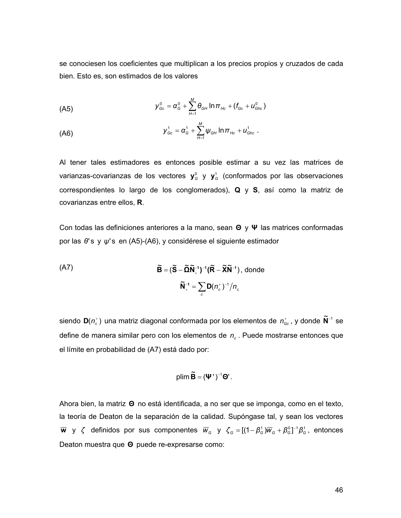se conociesen los coeficientes que multiplican a los precios propios y cruzados de cada bien. Esto es, son estimados de los valores

(A5)

\n
$$
y_{\text{Gc}}^0 = \alpha_{\text{G}}^0 + \sum_{H=1}^M \theta_{\text{GH}} \ln \pi_{\text{Hc}} + (f_{\text{Gc}} + u_{\text{Ghc}}^0)
$$

(A6)

\n
$$
y_{\scriptscriptstyle Gc}^1 = \alpha_{\scriptscriptstyle G}^1 + \sum_{H=1}^M \psi_{\scriptscriptstyle GH} \ln \pi_{Hc} + u_{\scriptscriptstyle Ghc}^1 \; .
$$

Al tener tales estimadores es entonces posible estimar a su vez las matrices de varianzas-covarianzas de los vectores  $y^0$ <sub>G</sub> y  $y^1$ <sub>G</sub> (conformados por las observaciones correspondientes lo largo de los conglomerados), **Q** y **S**, así como la matriz de covarianzas entre ellos, **R**.

Con todas las definiciones anteriores a la mano, sean **Θ** y **Ψ** las matrices conformadas por las θ's y ψ's en (A5)-(A6), y considérese el siguiente estimador

(A7)

\n
$$
\widetilde{\mathbf{B}} = (\widetilde{\mathbf{S}} - \widetilde{\mathbf{\Omega}} \widetilde{\mathbf{N}}_{+}^{-1})^{-1} (\widetilde{\mathbf{R}} - \widetilde{\mathbf{X}} \widetilde{\mathbf{N}}^{-1}), \text{ donde}
$$
\n
$$
\widetilde{\mathbf{N}}_{+}^{-1} = \sum_{c} \mathbf{D} (n_{c}^{+})^{-1} / n_{c}
$$

siendo  $\mathbf{D} ( n_c^* )$  una matriz diagonal conformada por los elementos de  $n_{\text{Gc}}^*$ , y donde  $\widetilde{\mathbf{N}}^{-1}$  se define de manera similar pero con los elementos de n<sub>c</sub>. Puede mostrarse entonces que el límite en probabilidad de (A7) está dado por:

$$
plim \widetilde{\mathbf{B}} = (\mathbf{\Psi}^{\top})^{-1} \mathbf{\Theta}^{\top}.
$$

Ahora bien, la matriz **Θ** no está identificada, a no ser que se imponga, como en el texto, la teoría de Deaton de la separación de la calidad. Supóngase tal, y sean los vectores  $\overline{w}$  y ζ definidos por sus componentes  $\overline{w}_G$  y ζ<sub>G</sub> = [(1−β<sup>1</sup><sub>G</sub>) $\overline{w}_G + \beta_G^0$ ]<sup>-1</sup>β<sup>1</sup><sub>G</sub>, entonces Deaton muestra que **Θ** puede re-expresarse como: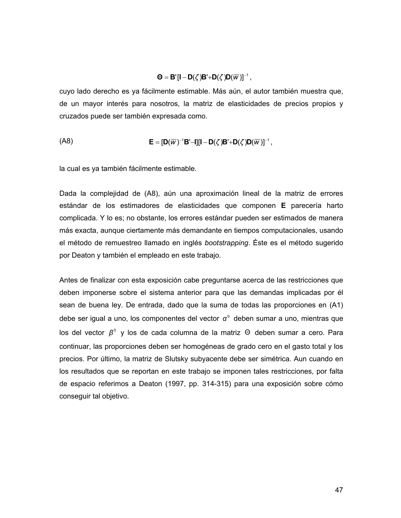### $\mathbf{D} = \mathbf{B}' [\mathbf{I} - \mathbf{D}(\zeta)\mathbf{B}' + \mathbf{D}(\zeta)\mathbf{D}(\overline{w})]^{-1}$ ,

cuyo lado derecho es ya fácilmente estimable. Más aún, el autor también muestra que, de un mayor interés para nosotros, la matriz de elasticidades de precios propios y cruzados puede ser también expresada como.

$$
(\mathsf{A}8)\qquad \qquad \mathsf{E}=[\mathsf{D}(\overline{w})^{-1}\mathsf{B}'-\mathsf{I}][\mathsf{I}-\mathsf{D}(\zeta)\mathsf{B}'+\mathsf{D}(\zeta)\mathsf{D}(\overline{w})]^{-1}\,,
$$

la cual es ya también fácilmente estimable.

Dada la complejidad de (A8), aún una aproximación lineal de la matriz de errores estándar de los estimadores de elasticidades que componen **E** parecería harto complicada. Y lo es; no obstante, los errores estándar pueden ser estimados de manera más exacta, aunque ciertamente más demandante en tiempos computacionales, usando el método de remuestreo llamado en inglés *bootstrapping*. Éste es el método sugerido por Deaton y también el empleado en este trabajo.

Antes de finalizar con esta exposición cabe preguntarse acerca de las restricciones que deben imponerse sobre el sistema anterior para que las demandas implicadas por él sean de buena ley. De entrada, dado que la suma de todas las proporciones en (A1) debe ser igual a uno, los componentes del vector  $\alpha^{\circ}$  deben sumar a uno, mientras que los del vector β<sup>º</sup> y los de cada columna de la matriz Θ deben sumar a cero. Para continuar, las proporciones deben ser homogéneas de grado cero en el gasto total y los precios. Por último, la matriz de Slutsky subyacente debe ser simétrica. Aun cuando en los resultados que se reportan en este trabajo se imponen tales restricciones, por falta de espacio referimos a Deaton (1997, pp. 314-315) para una exposición sobre cómo conseguir tal objetivo.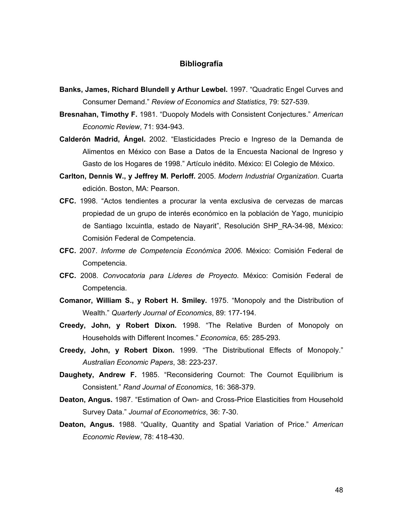### **Bibliografía**

- **Banks, James, Richard Blundell y Arthur Lewbel.** 1997. "Quadratic Engel Curves and Consumer Demand." *Review of Economics and Statistics*, 79: 527-539.
- **Bresnahan, Timothy F.** 1981. "Duopoly Models with Consistent Conjectures." *American Economic Review*, 71: 934-943.
- **Calderón Madrid, Ángel.** 2002. "Elasticidades Precio e Ingreso de la Demanda de Alimentos en México con Base a Datos de la Encuesta Nacional de Ingreso y Gasto de los Hogares de 1998." Artículo inédito. México: El Colegio de México.
- **Carlton, Dennis W., y Jeffrey M. Perloff.** 2005. *Modern Industrial Organization*. Cuarta edición. Boston, MA: Pearson.
- **CFC.** 1998. "Actos tendientes a procurar la venta exclusiva de cervezas de marcas propiedad de un grupo de interés económico en la población de Yago, municipio de Santiago Ixcuintla, estado de Nayarit", Resolución SHP\_RA-34-98, México: Comisión Federal de Competencia.
- **CFC.** 2007. *Informe de Competencia Económica 2006.* México: Comisión Federal de Competencia.
- **CFC.** 2008. *Convocatoria para Líderes de Proyecto.* México: Comisión Federal de Competencia.
- **Comanor, William S., y Robert H. Smiley.** 1975. "Monopoly and the Distribution of Wealth." *Quarterly Journal of Economics*, 89: 177-194.
- **Creedy, John, y Robert Dixon.** 1998. "The Relative Burden of Monopoly on Households with Different Incomes." *Economica*, 65: 285-293.
- **Creedy, John, y Robert Dixon.** 1999. "The Distributional Effects of Monopoly." *Australian Economic Papers*, 38: 223-237.
- **Daughety, Andrew F.** 1985. "Reconsidering Cournot: The Cournot Equilibrium is Consistent." *Rand Journal of Economics*, 16: 368-379.
- **Deaton, Angus.** 1987. "Estimation of Own- and Cross-Price Elasticities from Household Survey Data." *Journal of Econometrics*, 36: 7-30.
- **Deaton, Angus.** 1988. "Quality, Quantity and Spatial Variation of Price." *American Economic Review*, 78: 418-430.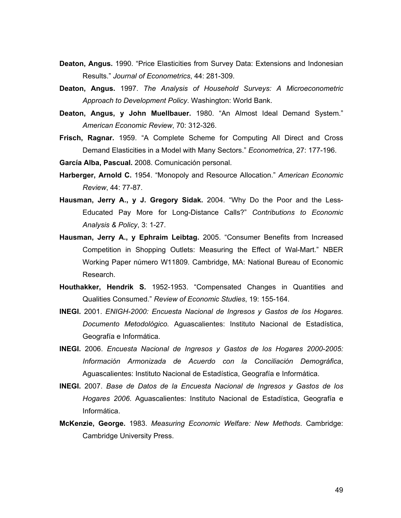- **Deaton, Angus.** 1990. "Price Elasticities from Survey Data: Extensions and Indonesian Results." *Journal of Econometrics*, 44: 281-309.
- **Deaton, Angus.** 1997. *The Analysis of Household Surveys: A Microeconometric Approach to Development Policy*. Washington: World Bank.
- **Deaton, Angus, y John Muellbauer.** 1980. "An Almost Ideal Demand System." *American Economic Review*, 70: 312-326.
- **Frisch, Ragnar.** 1959. "A Complete Scheme for Computing All Direct and Cross Demand Elasticities in a Model with Many Sectors." *Econometrica*, 27: 177-196.

**García Alba, Pascual.** 2008. Comunicación personal.

- **Harberger, Arnold C.** 1954. "Monopoly and Resource Allocation." *American Economic Review*, 44: 77-87.
- **Hausman, Jerry A., y J. Gregory Sidak.** 2004. "Why Do the Poor and the Less-Educated Pay More for Long-Distance Calls?" *Contributions to Economic Analysis & Policy*, 3: 1-27.
- **Hausman, Jerry A., y Ephraim Leibtag.** 2005. "Consumer Benefits from Increased Competition in Shopping Outlets: Measuring the Effect of Wal-Mart." NBER Working Paper número W11809. Cambridge, MA: National Bureau of Economic Research.
- **Houthakker, Hendrik S.** 1952-1953. "Compensated Changes in Quantities and Qualities Consumed." *Review of Economic Studies*, 19: 155-164.
- **INEGI.** 2001. *ENIGH-2000: Encuesta Nacional de Ingresos y Gastos de los Hogares. Documento Metodológico.* Aguascalientes: Instituto Nacional de Estadística, Geografía e Informática.
- **INEGI.** 2006. *Encuesta Nacional de Ingresos y Gastos de los Hogares 2000-2005: Información Armonizada de Acuerdo con la Conciliación Demográfica*, Aguascalientes: Instituto Nacional de Estadística, Geografía e Informática.
- **INEGI.** 2007. *Base de Datos de la Encuesta Nacional de Ingresos y Gastos de los Hogares 2006*. Aguascalientes: Instituto Nacional de Estadística, Geografía e Informática.
- **McKenzie, George.** 1983. *Measuring Economic Welfare: New Methods*. Cambridge: Cambridge University Press.